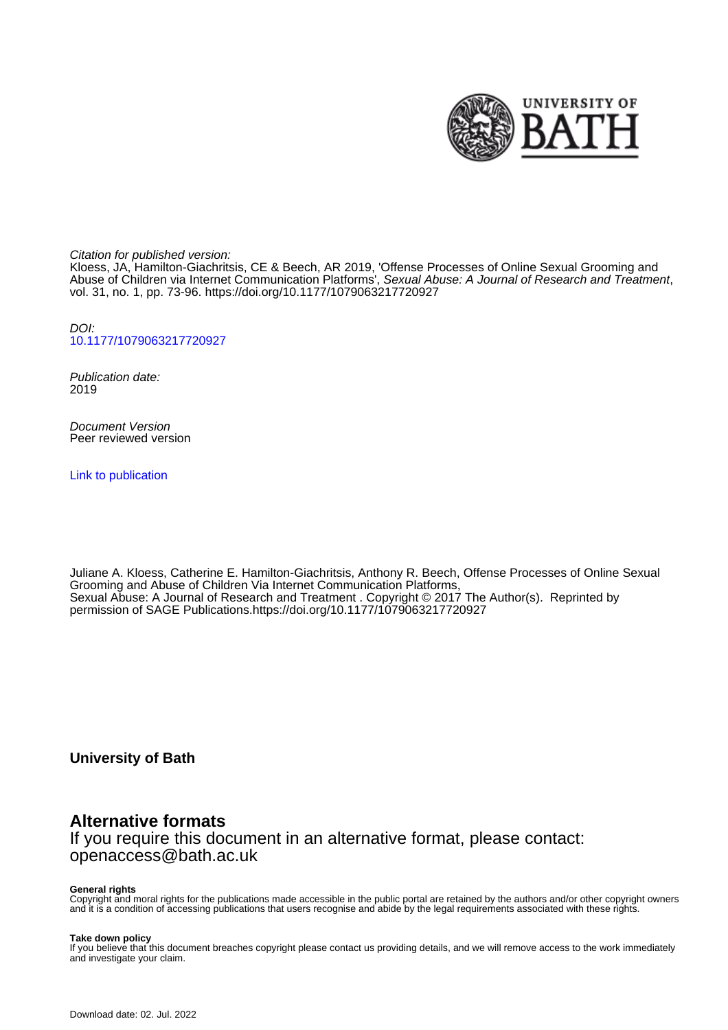

Citation for published version:

Kloess, JA, Hamilton-Giachritsis, CE & Beech, AR 2019, 'Offense Processes of Online Sexual Grooming and Abuse of Children via Internet Communication Platforms', Sexual Abuse: A Journal of Research and Treatment, vol. 31, no. 1, pp. 73-96. <https://doi.org/10.1177/1079063217720927>

DOI: [10.1177/1079063217720927](https://doi.org/10.1177/1079063217720927)

Publication date: 2019

Document Version Peer reviewed version

[Link to publication](https://researchportal.bath.ac.uk/en/publications/offense-processes-of-online-sexual-grooming-and-abuse-of-children-via-internet-communication-platforms(e3fa8e94-17f4-4eb5-ba92-42726e2f339d).html)

Juliane A. Kloess, Catherine E. Hamilton-Giachritsis, Anthony R. Beech, Offense Processes of Online Sexual Grooming and Abuse of Children Via Internet Communication Platforms, Sexual Abuse: A Journal of Research and Treatment . Copyright © 2017 The Author(s). Reprinted by permission of SAGE Publications.https://doi.org/10.1177/1079063217720927

**University of Bath**

# **Alternative formats**

If you require this document in an alternative format, please contact: openaccess@bath.ac.uk

#### **General rights**

Copyright and moral rights for the publications made accessible in the public portal are retained by the authors and/or other copyright owners and it is a condition of accessing publications that users recognise and abide by the legal requirements associated with these rights.

#### **Take down policy**

If you believe that this document breaches copyright please contact us providing details, and we will remove access to the work immediately and investigate your claim.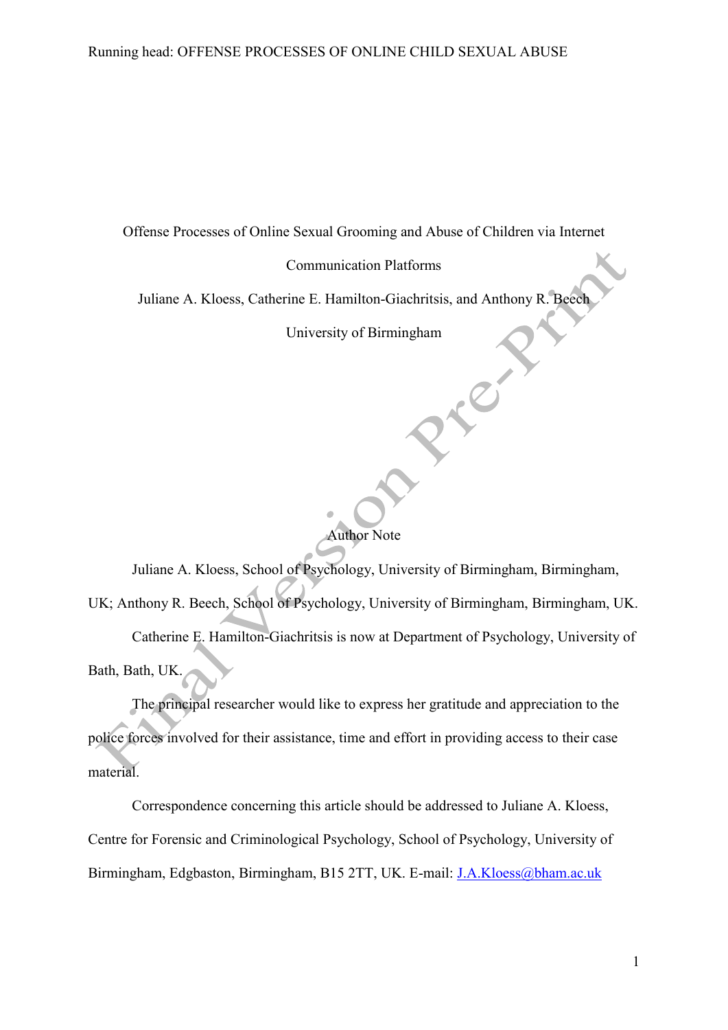### Running head: OFFENSE PROCESSES OF ONLINE CHILD SEXUAL ABUSE

Offense Processes of Online Sexual Grooming and Abuse of Children via Internet

Communication Platforms

Juliane A. Kloess, Catherine E. Hamilton-Giachritsis, and Anthony R. Beech

University of Birmingham

Author Note

Juliane A. Kloess, School of Psychology, University of Birmingham, Birmingham, UK; Anthony R. Beech, School of Psychology, University of Birmingham, Birmingham, UK.

Catherine E. Hamilton-Giachritsis is now at Department of Psychology, University of Bath, Bath, UK.

The principal researcher would like to express her gratitude and appreciation to the police forces involved for their assistance, time and effort in providing access to their case material.

Correspondence concerning this article should be addressed to Juliane A. Kloess, Centre for Forensic and Criminological Psychology, School of Psychology, University of Birmingham, Edgbaston, Birmingham, B15 2TT, UK. E-mail: [J.A.Kloess@bham.ac.uk](mailto:J.A.Kloess@bham.ac.uk)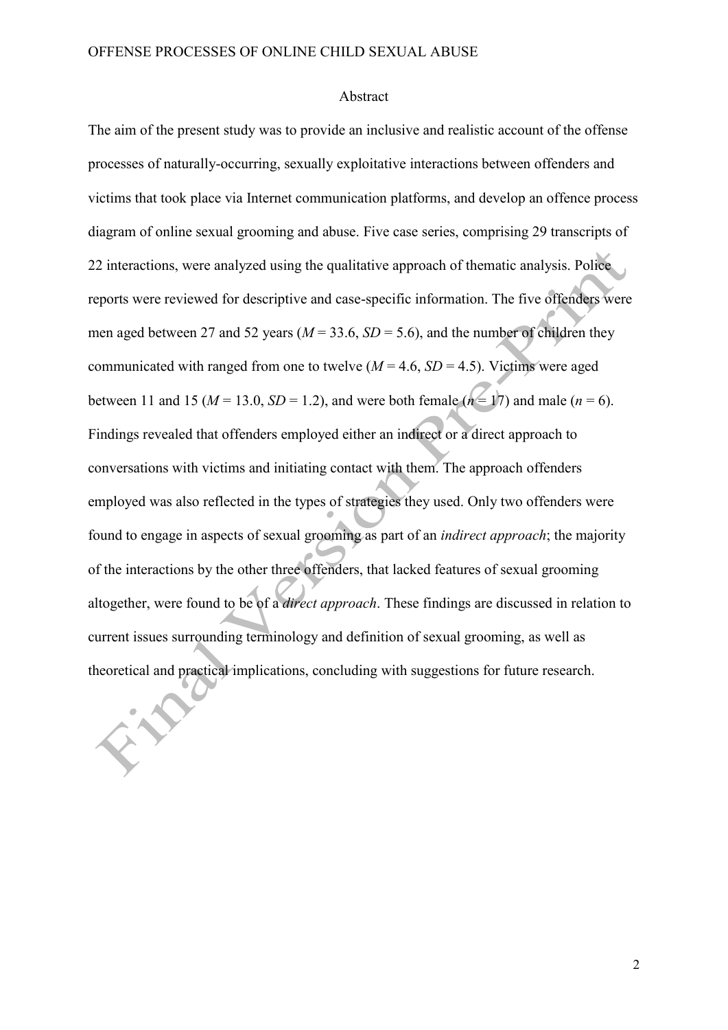#### Abstract

The aim of the present study was to provide an inclusive and realistic account of the offense processes of naturally-occurring, sexually exploitative interactions between offenders and victims that took place via Internet communication platforms, and develop an offence process diagram of online sexual grooming and abuse. Five case series, comprising 29 transcripts of 22 interactions, were analyzed using the qualitative approach of thematic analysis. Police reports were reviewed for descriptive and case-specific information. The five offenders were men aged between 27 and 52 years ( $M = 33.6$ ,  $SD = 5.6$ ), and the number of children they communicated with ranged from one to twelve  $(M = 4.6, SD = 4.5)$ . Victims were aged between 11 and 15 ( $M = 13.0$ ,  $SD = 1.2$ ), and were both female ( $n = 17$ ) and male ( $n = 6$ ). Findings revealed that offenders employed either an indirect or a direct approach to conversations with victims and initiating contact with them. The approach offenders employed was also reflected in the types of strategies they used. Only two offenders were found to engage in aspects of sexual grooming as part of an *indirect approach*; the majority of the interactions by the other three offenders, that lacked features of sexual grooming altogether, were found to be of a *direct approach*. These findings are discussed in relation to current issues surrounding terminology and definition of sexual grooming, as well as theoretical and practical implications, concluding with suggestions for future research.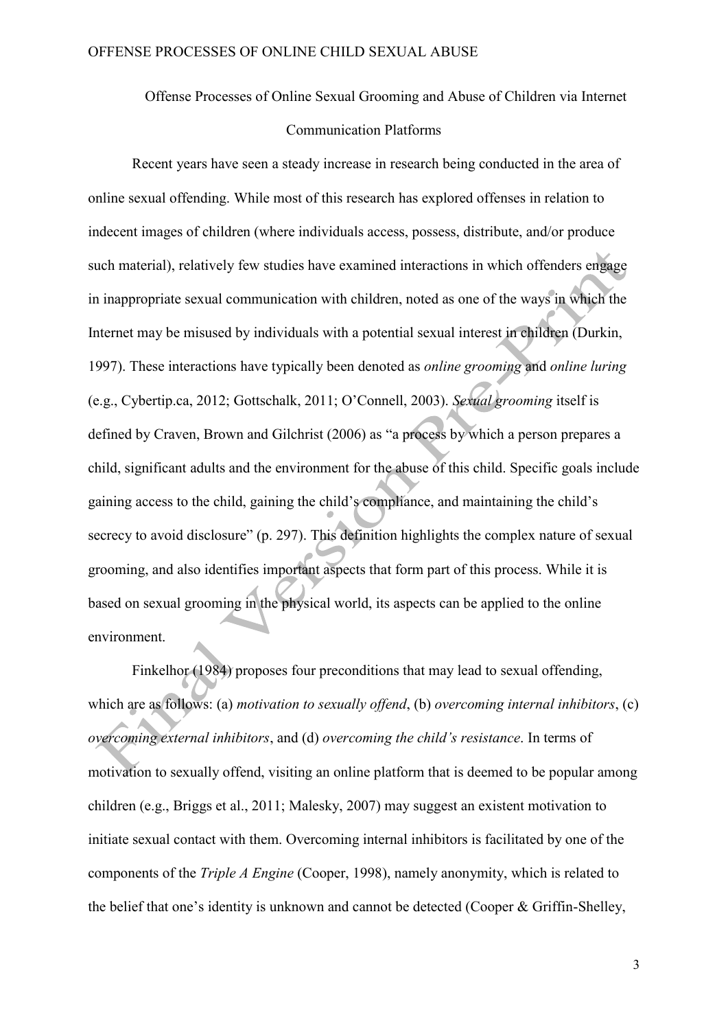# Offense Processes of Online Sexual Grooming and Abuse of Children via Internet

## Communication Platforms

Recent years have seen a steady increase in research being conducted in the area of online sexual offending. While most of this research has explored offenses in relation to indecent images of children (where individuals access, possess, distribute, and/or produce such material), relatively few studies have examined interactions in which offenders engage in inappropriate sexual communication with children, noted as one of the ways in which the Internet may be misused by individuals with a potential sexual interest in children (Durkin, 1997). These interactions have typically been denoted as *online grooming* and *online luring* (e.g., Cybertip.ca, 2012; Gottschalk, 2011; O'Connell, 2003). *Sexual grooming* itself is defined by Craven, Brown and Gilchrist (2006) as "a process by which a person prepares a child, significant adults and the environment for the abuse of this child. Specific goals include gaining access to the child, gaining the child's compliance, and maintaining the child's secrecy to avoid disclosure" (p. 297). This definition highlights the complex nature of sexual grooming, and also identifies important aspects that form part of this process. While it is based on sexual grooming in the physical world, its aspects can be applied to the online environment.

Finkelhor (1984) proposes four preconditions that may lead to sexual offending. which are as follows: (a) *motivation to sexually offend*, (b) *overcoming internal inhibitors*, (c) *overcoming external inhibitors*, and (d) *overcoming the child's resistance*. In terms of motivation to sexually offend, visiting an online platform that is deemed to be popular among children (e.g., Briggs et al., 2011; Malesky, 2007) may suggest an existent motivation to initiate sexual contact with them. Overcoming internal inhibitors is facilitated by one of the components of the *Triple A Engine* (Cooper, 1998), namely anonymity, which is related to the belief that one's identity is unknown and cannot be detected (Cooper & Griffin-Shelley,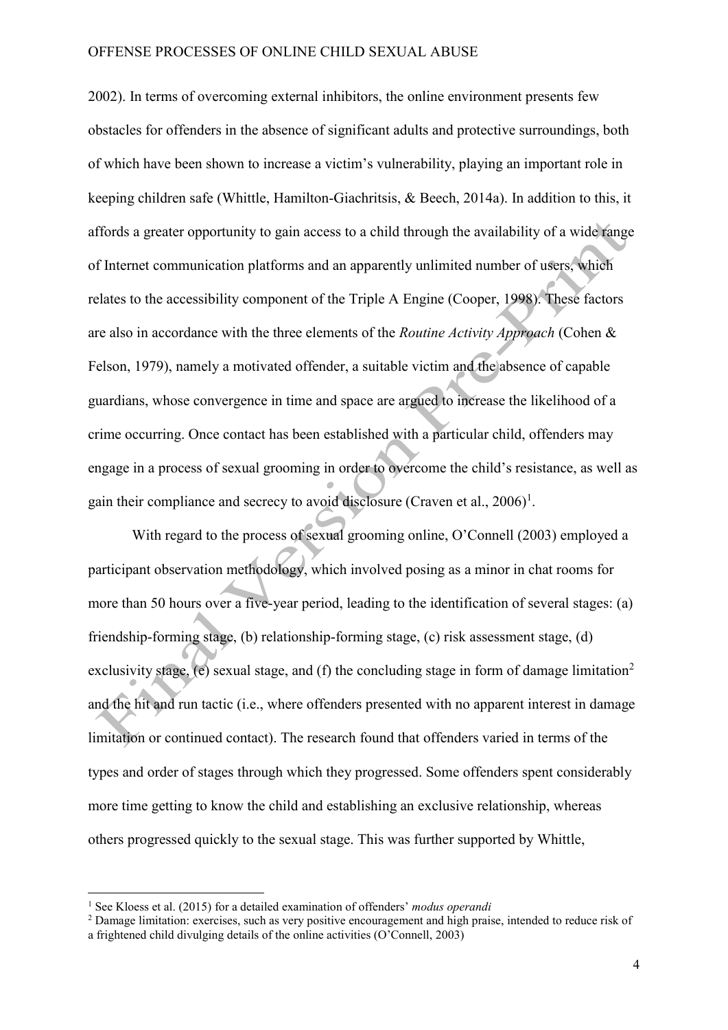2002). In terms of overcoming external inhibitors, the online environment presents few obstacles for offenders in the absence of significant adults and protective surroundings, both of which have been shown to increase a victim's vulnerability, playing an important role in keeping children safe (Whittle, Hamilton-Giachritsis, & Beech, 2014a). In addition to this, it affords a greater opportunity to gain access to a child through the availability of a wide range of Internet communication platforms and an apparently unlimited number of users, which relates to the accessibility component of the Triple A Engine (Cooper, 1998). These factors are also in accordance with the three elements of the *Routine Activity Approach* (Cohen & Felson, 1979), namely a motivated offender, a suitable victim and the absence of capable guardians, whose convergence in time and space are argued to increase the likelihood of a crime occurring. Once contact has been established with a particular child, offenders may engage in a process of sexual grooming in order to overcome the child's resistance, as well as gain their compliance and secrecy to avoid disclosure (Craven et al.,  $2006$ )<sup>1</sup>.

With regard to the process of sexual grooming online, O'Connell (2003) employed a participant observation methodology, which involved posing as a minor in chat rooms for more than 50 hours over a five-year period, leading to the identification of several stages: (a) friendship-forming stage, (b) relationship-forming stage, (c) risk assessment stage, (d) exclusivity stage, (e) sexual stage, and (f) the concluding stage in form of damage limitation<sup>2</sup> and the hit and run tactic (i.e., where offenders presented with no apparent interest in damage limitation or continued contact). The research found that offenders varied in terms of the types and order of stages through which they progressed. Some offenders spent considerably more time getting to know the child and establishing an exclusive relationship, whereas others progressed quickly to the sexual stage. This was further supported by Whittle,

<sup>1</sup> See Kloess et al. (2015) for a detailed examination of offenders' *modus operandi*

<sup>2</sup> Damage limitation: exercises, such as very positive encouragement and high praise, intended to reduce risk of a frightened child divulging details of the online activities (O'Connell, 2003)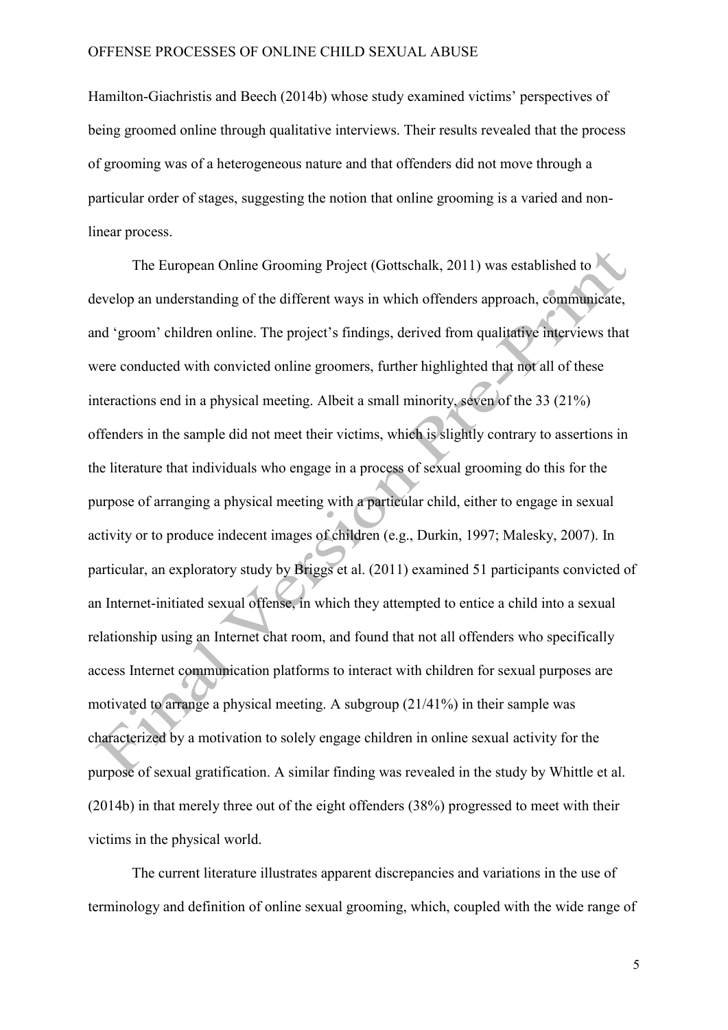Hamilton-Giachristis and Beech (2014b) whose study examined victims' perspectives of being groomed online through qualitative interviews. Their results revealed that the process of grooming was of a heterogeneous nature and that offenders did not move through a particular order of stages, suggesting the notion that online grooming is a varied and nonlinear process.

The European Online Grooming Project (Gottschalk, 2011) was established to develop an understanding of the different ways in which offenders approach, communicate, and 'groom' children online. The project's findings, derived from qualitative interviews that were conducted with convicted online groomers, further highlighted that not all of these interactions end in a physical meeting. Albeit a small minority, seven of the 33 (21%) offenders in the sample did not meet their victims, which is slightly contrary to assertions in the literature that individuals who engage in a process of sexual grooming do this for the purpose of arranging a physical meeting with a particular child, either to engage in sexual activity or to produce indecent images of children (e.g., Durkin, 1997; Malesky, 2007). In particular, an exploratory study by Briggs et al. (2011) examined 51 participants convicted of an Internet-initiated sexual offense, in which they attempted to entice a child into a sexual relationship using an Internet chat room, and found that not all offenders who specifically access Internet communication platforms to interact with children for sexual purposes are motivated to arrange a physical meeting. A subgroup (21/41%) in their sample was characterized by a motivation to solely engage children in online sexual activity for the purpose of sexual gratification. A similar finding was revealed in the study by Whittle et al. (2014b) in that merely three out of the eight offenders (38%) progressed to meet with their victims in the physical world.

The current literature illustrates apparent discrepancies and variations in the use of terminology and definition of online sexual grooming, which, coupled with the wide range of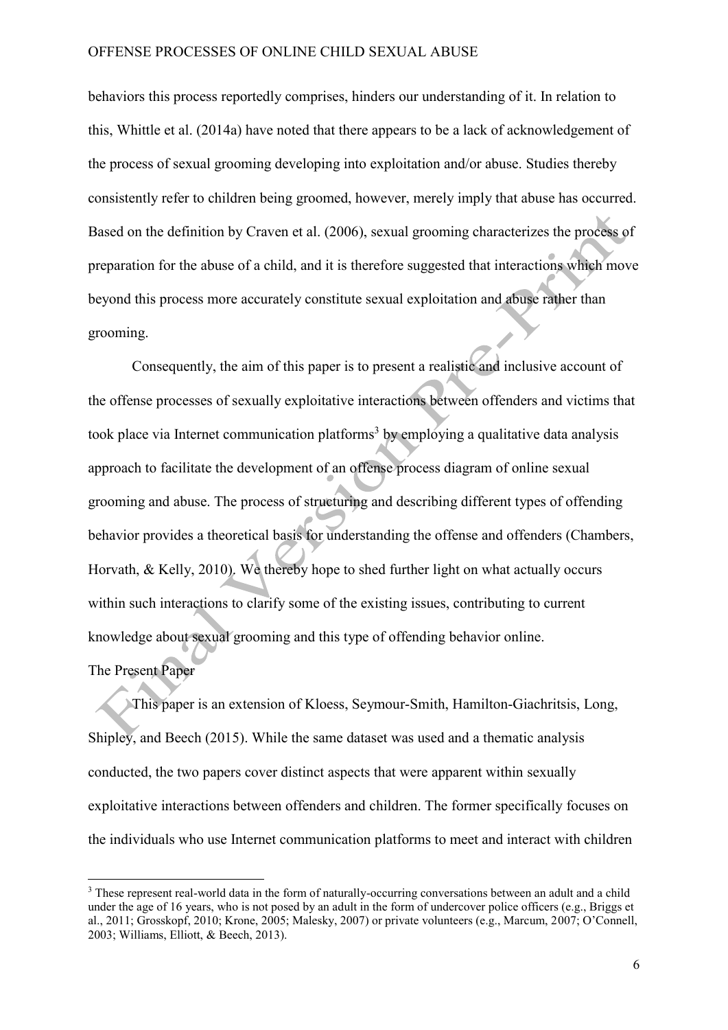behaviors this process reportedly comprises, hinders our understanding of it. In relation to this, Whittle et al. (2014a) have noted that there appears to be a lack of acknowledgement of the process of sexual grooming developing into exploitation and/or abuse. Studies thereby consistently refer to children being groomed, however, merely imply that abuse has occurred. Based on the definition by Craven et al. (2006), sexual grooming characterizes the process of preparation for the abuse of a child, and it is therefore suggested that interactions which move beyond this process more accurately constitute sexual exploitation and abuse rather than grooming.

Consequently, the aim of this paper is to present a realistic and inclusive account of the offense processes of sexually exploitative interactions between offenders and victims that took place via Internet communication platforms<sup>3</sup> by employing a qualitative data analysis approach to facilitate the development of an offense process diagram of online sexual grooming and abuse. The process of structuring and describing different types of offending behavior provides a theoretical basis for understanding the offense and offenders (Chambers, Horvath, & Kelly, 2010). We thereby hope to shed further light on what actually occurs within such interactions to clarify some of the existing issues, contributing to current knowledge about sexual grooming and this type of offending behavior online.

## The Present Paper

**.** 

This paper is an extension of Kloess, Seymour-Smith, Hamilton-Giachritsis, Long, Shipley, and Beech (2015). While the same dataset was used and a thematic analysis conducted, the two papers cover distinct aspects that were apparent within sexually exploitative interactions between offenders and children. The former specifically focuses on the individuals who use Internet communication platforms to meet and interact with children

<sup>&</sup>lt;sup>3</sup> These represent real-world data in the form of naturally-occurring conversations between an adult and a child under the age of 16 years, who is not posed by an adult in the form of undercover police officers (e.g., Briggs et al., 2011; Grosskopf, 2010; Krone, 2005; Malesky, 2007) or private volunteers (e.g., Marcum, 2007; O'Connell, 2003; Williams, Elliott, & Beech, 2013).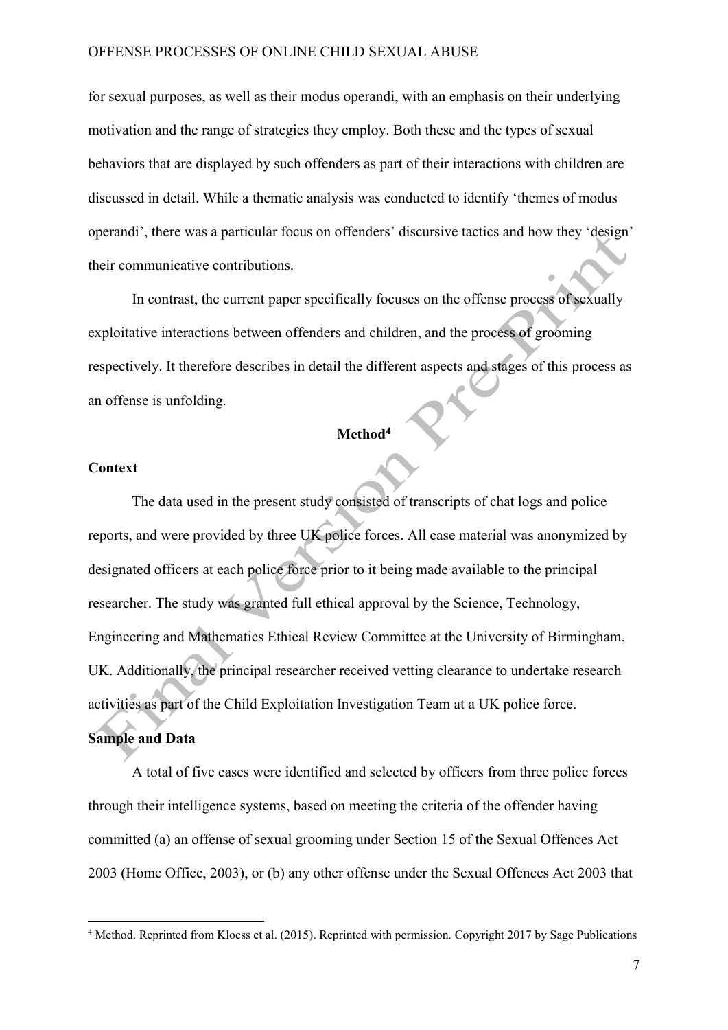for sexual purposes, as well as their modus operandi, with an emphasis on their underlying motivation and the range of strategies they employ. Both these and the types of sexual behaviors that are displayed by such offenders as part of their interactions with children are discussed in detail. While a thematic analysis was conducted to identify 'themes of modus operandi', there was a particular focus on offenders' discursive tactics and how they 'design' their communicative contributions.

In contrast, the current paper specifically focuses on the offense process of sexually exploitative interactions between offenders and children, and the process of grooming respectively. It therefore describes in detail the different aspects and stages of this process as an offense is unfolding.

#### **Method<sup>4</sup>**

## **Context**

**.** 

The data used in the present study consisted of transcripts of chat logs and police reports, and were provided by three UK police forces. All case material was anonymized by designated officers at each police force prior to it being made available to the principal researcher. The study was granted full ethical approval by the Science, Technology, Engineering and Mathematics Ethical Review Committee at the University of Birmingham, UK. Additionally, the principal researcher received vetting clearance to undertake research activities as part of the Child Exploitation Investigation Team at a UK police force. **Sample and Data**

A total of five cases were identified and selected by officers from three police forces through their intelligence systems, based on meeting the criteria of the offender having committed (a) an offense of sexual grooming under Section 15 of the Sexual Offences Act 2003 (Home Office, 2003), or (b) any other offense under the Sexual Offences Act 2003 that

<sup>4</sup> Method. Reprinted from Kloess et al. (2015). Reprinted with permission. Copyright 2017 by Sage Publications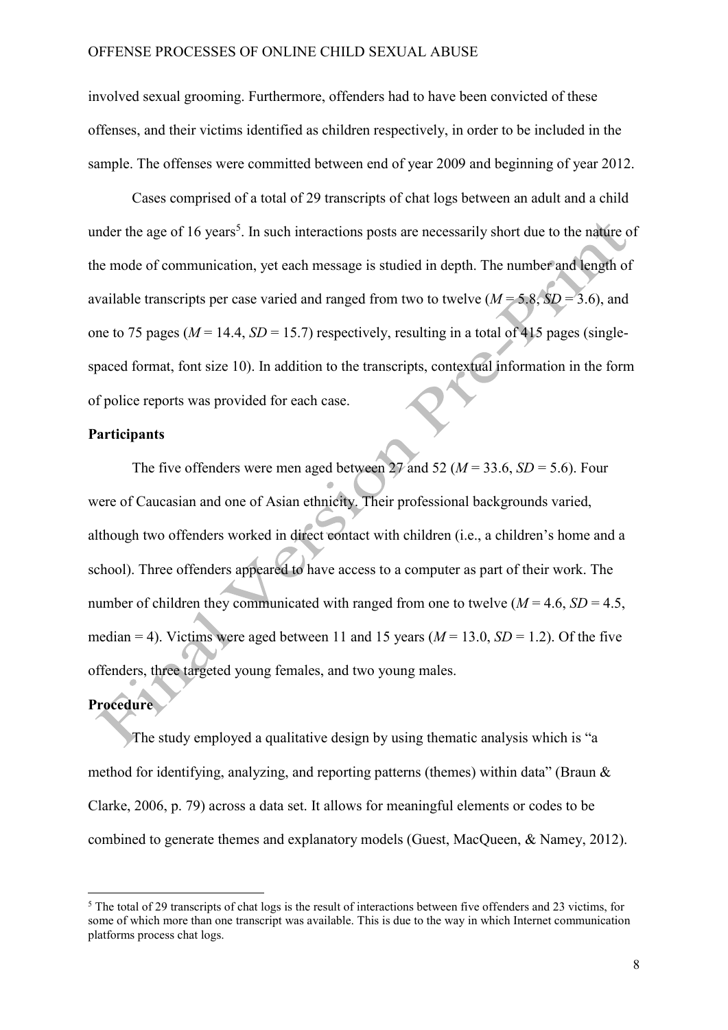involved sexual grooming. Furthermore, offenders had to have been convicted of these offenses, and their victims identified as children respectively, in order to be included in the sample. The offenses were committed between end of year 2009 and beginning of year 2012.

Cases comprised of a total of 29 transcripts of chat logs between an adult and a child under the age of 16 years<sup>5</sup>. In such interactions posts are necessarily short due to the nature of the mode of communication, yet each message is studied in depth. The number and length of available transcripts per case varied and ranged from two to twelve  $(M = 5.8, SD = 3.6)$ , and one to 75 pages ( $M = 14.4$ ,  $SD = 15.7$ ) respectively, resulting in a total of 415 pages (singlespaced format, font size 10). In addition to the transcripts, contextual information in the form of police reports was provided for each case.

### **Participants**

The five offenders were men aged between 27 and 52 ( $M = 33.6$ ,  $SD = 5.6$ ). Four were of Caucasian and one of Asian ethnicity. Their professional backgrounds varied, although two offenders worked in direct contact with children (i.e., a children's home and a school). Three offenders appeared to have access to a computer as part of their work. The number of children they communicated with ranged from one to twelve  $(M = 4.6, SD = 4.5,$ median = 4). Victims were aged between 11 and 15 years  $(M = 13.0, SD = 1.2)$ . Of the five offenders, three targeted young females, and two young males.

## **Procedure**

1

The study employed a qualitative design by using thematic analysis which is "a method for identifying, analyzing, and reporting patterns (themes) within data" (Braun & Clarke, 2006, p. 79) across a data set. It allows for meaningful elements or codes to be combined to generate themes and explanatory models (Guest, MacQueen, & Namey, 2012).

 $5$  The total of 29 transcripts of chat logs is the result of interactions between five offenders and 23 victims, for some of which more than one transcript was available. This is due to the way in which Internet communication platforms process chat logs.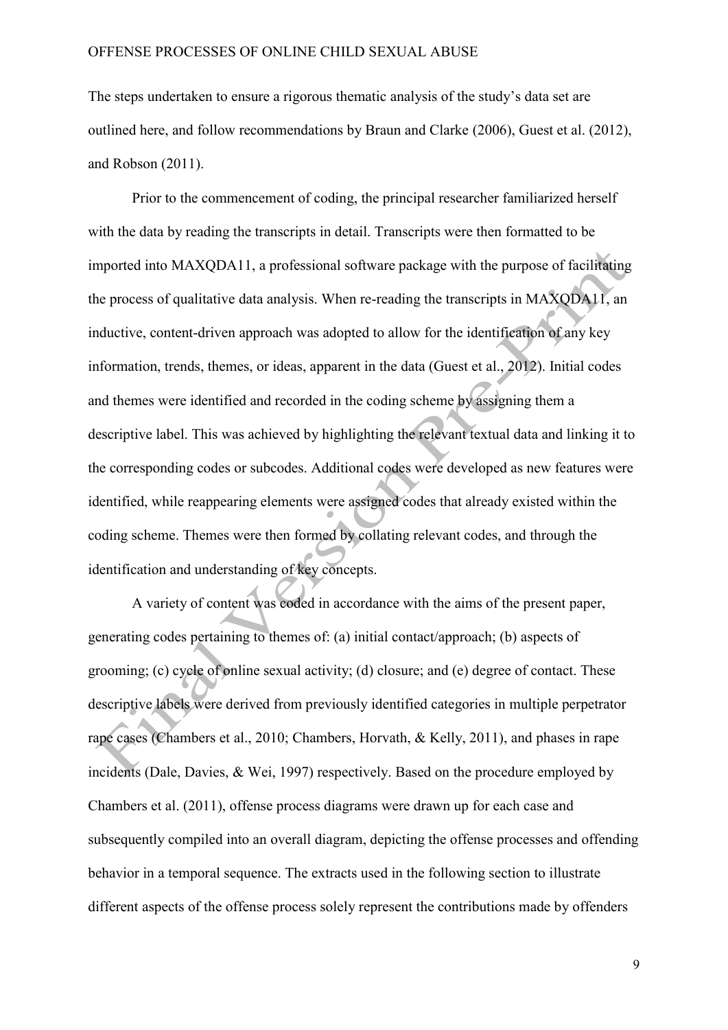The steps undertaken to ensure a rigorous thematic analysis of the study's data set are outlined here, and follow recommendations by Braun and Clarke (2006), Guest et al. (2012), and Robson (2011).

Prior to the commencement of coding, the principal researcher familiarized herself with the data by reading the transcripts in detail. Transcripts were then formatted to be imported into MAXQDA11, a professional software package with the purpose of facilitating the process of qualitative data analysis. When re-reading the transcripts in MAXQDA11, an inductive, content-driven approach was adopted to allow for the identification of any key information, trends, themes, or ideas, apparent in the data (Guest et al., 2012). Initial codes and themes were identified and recorded in the coding scheme by assigning them a descriptive label. This was achieved by highlighting the relevant textual data and linking it to the corresponding codes or subcodes. Additional codes were developed as new features were identified, while reappearing elements were assigned codes that already existed within the coding scheme. Themes were then formed by collating relevant codes, and through the identification and understanding of key concepts.

A variety of content was coded in accordance with the aims of the present paper, generating codes pertaining to themes of: (a) initial contact/approach; (b) aspects of grooming; (c) cycle of online sexual activity; (d) closure; and (e) degree of contact. These descriptive labels were derived from previously identified categories in multiple perpetrator rape cases (Chambers et al., 2010; Chambers, Horvath, & Kelly, 2011), and phases in rape incidents (Dale, Davies, & Wei, 1997) respectively. Based on the procedure employed by Chambers et al. (2011), offense process diagrams were drawn up for each case and subsequently compiled into an overall diagram, depicting the offense processes and offending behavior in a temporal sequence. The extracts used in the following section to illustrate different aspects of the offense process solely represent the contributions made by offenders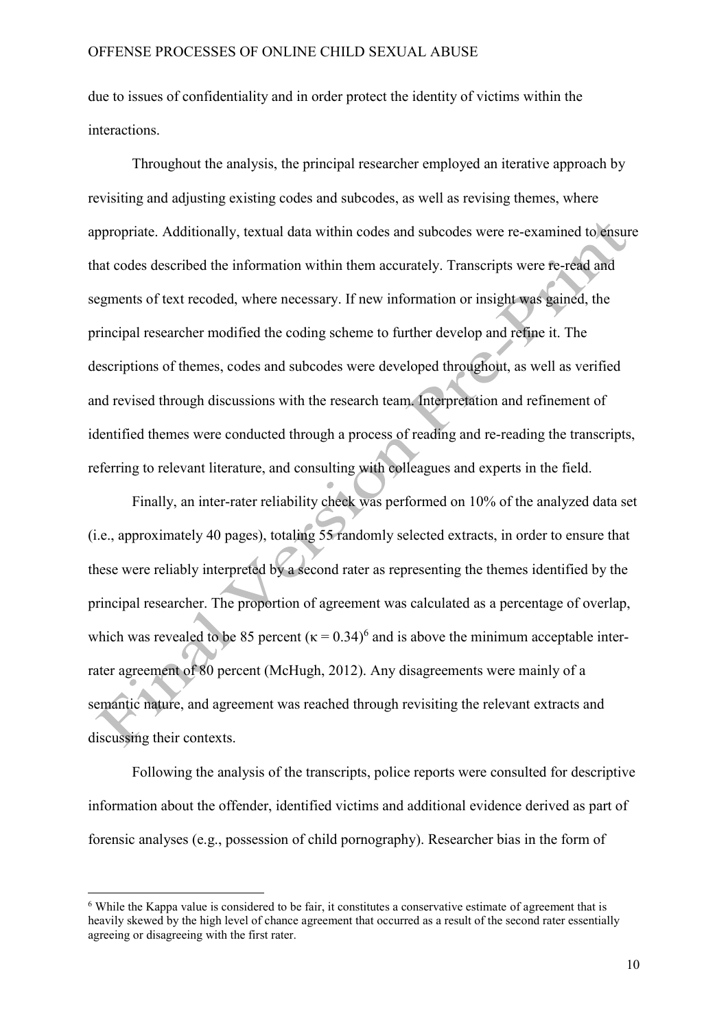due to issues of confidentiality and in order protect the identity of victims within the interactions.

Throughout the analysis, the principal researcher employed an iterative approach by revisiting and adjusting existing codes and subcodes, as well as revising themes, where appropriate. Additionally, textual data within codes and subcodes were re-examined to ensure that codes described the information within them accurately. Transcripts were re-read and segments of text recoded, where necessary. If new information or insight was gained, the principal researcher modified the coding scheme to further develop and refine it. The descriptions of themes, codes and subcodes were developed throughout, as well as verified and revised through discussions with the research team. Interpretation and refinement of identified themes were conducted through a process of reading and re-reading the transcripts, referring to relevant literature, and consulting with colleagues and experts in the field.

Finally, an inter-rater reliability check was performed on 10% of the analyzed data set (i.e., approximately 40 pages), totaling 55 randomly selected extracts, in order to ensure that these were reliably interpreted by a second rater as representing the themes identified by the principal researcher. The proportion of agreement was calculated as a percentage of overlap, which was revealed to be 85 percent  $(\kappa = 0.34)^6$  and is above the minimum acceptable interrater agreement of 80 percent (McHugh, 2012). Any disagreements were mainly of a semantic nature, and agreement was reached through revisiting the relevant extracts and discussing their contexts.

Following the analysis of the transcripts, police reports were consulted for descriptive information about the offender, identified victims and additional evidence derived as part of forensic analyses (e.g., possession of child pornography). Researcher bias in the form of

<sup>6</sup> While the Kappa value is considered to be fair, it constitutes a conservative estimate of agreement that is heavily skewed by the high level of chance agreement that occurred as a result of the second rater essentially agreeing or disagreeing with the first rater.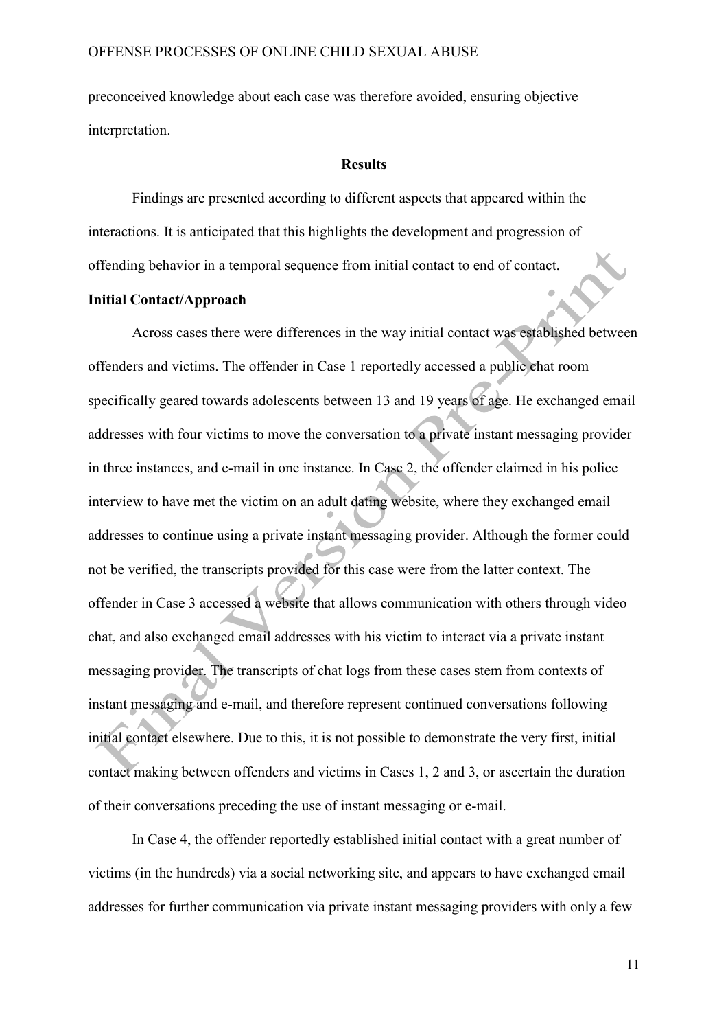preconceived knowledge about each case was therefore avoided, ensuring objective interpretation.

#### **Results**

Findings are presented according to different aspects that appeared within the interactions. It is anticipated that this highlights the development and progression of offending behavior in a temporal sequence from initial contact to end of contact.

### **Initial Contact/Approach**

Across cases there were differences in the way initial contact was established between offenders and victims. The offender in Case 1 reportedly accessed a public chat room specifically geared towards adolescents between 13 and 19 years of age. He exchanged email addresses with four victims to move the conversation to a private instant messaging provider in three instances, and e-mail in one instance. In Case 2, the offender claimed in his police interview to have met the victim on an adult dating website, where they exchanged email addresses to continue using a private instant messaging provider. Although the former could not be verified, the transcripts provided for this case were from the latter context. The offender in Case 3 accessed a website that allows communication with others through video chat, and also exchanged email addresses with his victim to interact via a private instant messaging provider. The transcripts of chat logs from these cases stem from contexts of instant messaging and e-mail, and therefore represent continued conversations following initial contact elsewhere. Due to this, it is not possible to demonstrate the very first, initial contact making between offenders and victims in Cases 1, 2 and 3, or ascertain the duration of their conversations preceding the use of instant messaging or e-mail.

In Case 4, the offender reportedly established initial contact with a great number of victims (in the hundreds) via a social networking site, and appears to have exchanged email addresses for further communication via private instant messaging providers with only a few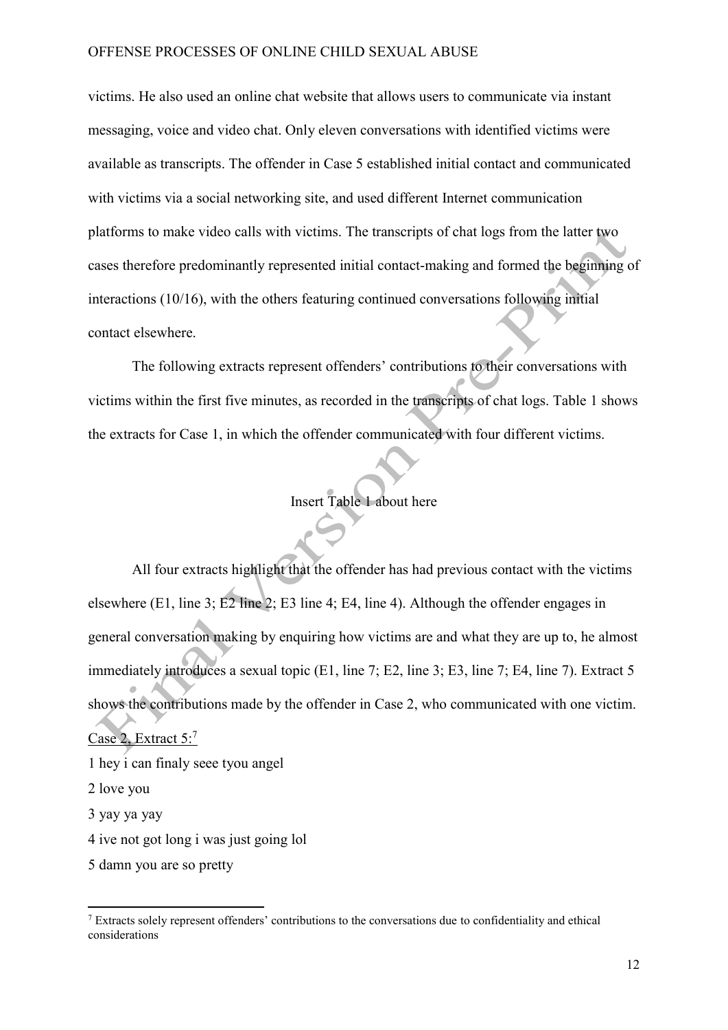victims. He also used an online chat website that allows users to communicate via instant messaging, voice and video chat. Only eleven conversations with identified victims were available as transcripts. The offender in Case 5 established initial contact and communicated with victims via a social networking site, and used different Internet communication platforms to make video calls with victims. The transcripts of chat logs from the latter two cases therefore predominantly represented initial contact-making and formed the beginning of interactions (10/16), with the others featuring continued conversations following initial contact elsewhere.

The following extracts represent offenders' contributions to their conversations with victims within the first five minutes, as recorded in the transcripts of chat logs. Table 1 shows the extracts for Case 1, in which the offender communicated with four different victims.

# Insert Table 1 about here

All four extracts highlight that the offender has had previous contact with the victims elsewhere (E1, line 3; E2 line 2; E3 line 4; E4, line 4). Although the offender engages in general conversation making by enquiring how victims are and what they are up to, he almost immediately introduces a sexual topic (E1, line 7; E2, line 3; E3, line 7; E4, line 7). Extract 5 shows the contributions made by the offender in Case 2, who communicated with one victim. Case 2, Extract 5:<sup>7</sup>

1 hey i can finaly seee tyou angel

2 love you

**.** 

3 yay ya yay

4 ive not got long i was just going lol

5 damn you are so pretty

<sup>7</sup> Extracts solely represent offenders' contributions to the conversations due to confidentiality and ethical considerations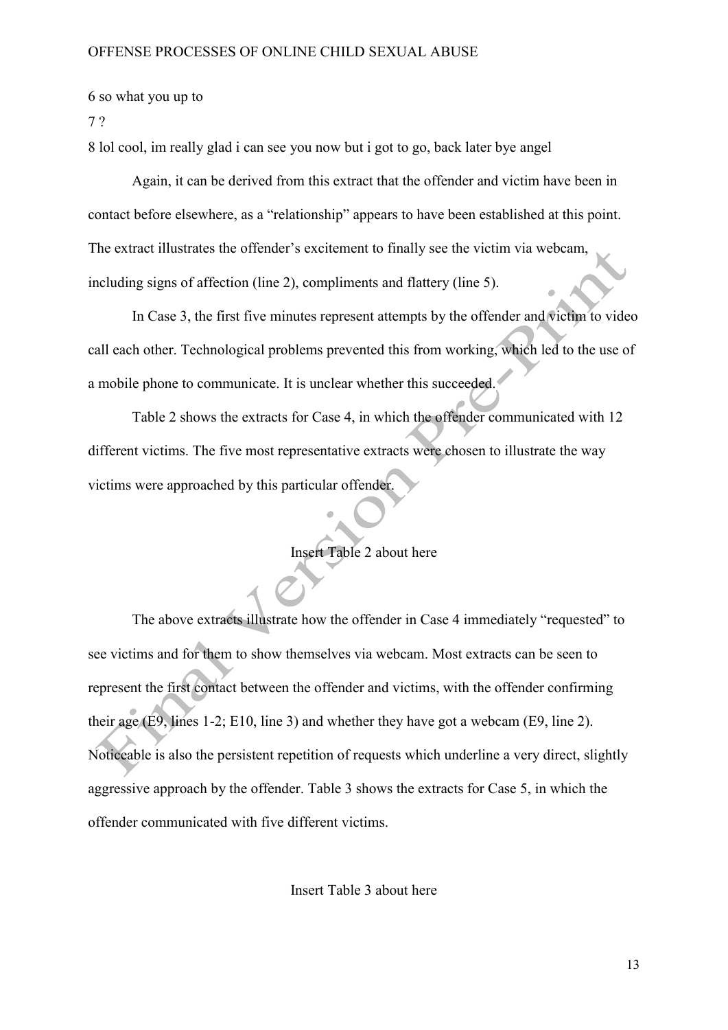6 so what you up to

7 ?

8 lol cool, im really glad i can see you now but i got to go, back later bye angel

Again, it can be derived from this extract that the offender and victim have been in contact before elsewhere, as a "relationship" appears to have been established at this point. The extract illustrates the offender's excitement to finally see the victim via webcam, including signs of affection (line 2), compliments and flattery (line 5).

In Case 3, the first five minutes represent attempts by the offender and victim to video call each other. Technological problems prevented this from working, which led to the use of a mobile phone to communicate. It is unclear whether this succeeded.

Table 2 shows the extracts for Case 4, in which the offender communicated with 12 different victims. The five most representative extracts were chosen to illustrate the way victims were approached by this particular offender.

Insert Table 2 about here

The above extracts illustrate how the offender in Case 4 immediately "requested" to see victims and for them to show themselves via webcam. Most extracts can be seen to represent the first contact between the offender and victims, with the offender confirming their age (E9, lines 1-2; E10, line 3) and whether they have got a webcam (E9, line 2). Noticeable is also the persistent repetition of requests which underline a very direct, slightly aggressive approach by the offender. Table 3 shows the extracts for Case 5, in which the offender communicated with five different victims.

Insert Table 3 about here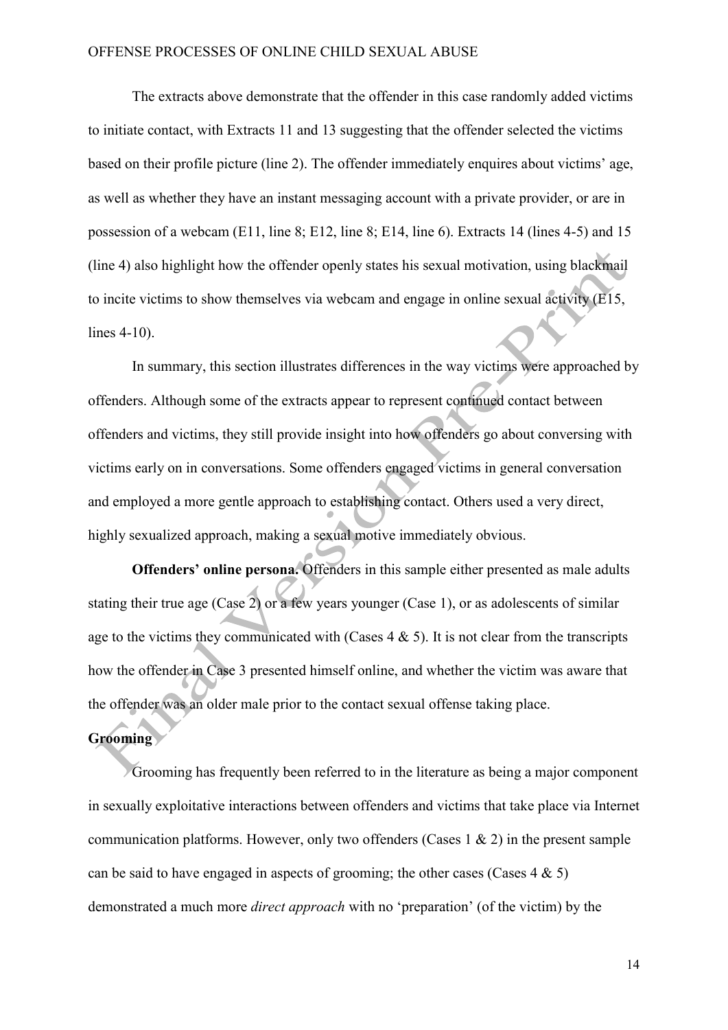The extracts above demonstrate that the offender in this case randomly added victims to initiate contact, with Extracts 11 and 13 suggesting that the offender selected the victims based on their profile picture (line 2). The offender immediately enquires about victims' age, as well as whether they have an instant messaging account with a private provider, or are in possession of a webcam (E11, line 8; E12, line 8; E14, line 6). Extracts 14 (lines 4-5) and 15 (line 4) also highlight how the offender openly states his sexual motivation, using blackmail to incite victims to show themselves via webcam and engage in online sexual activity (E15, lines 4-10).

In summary, this section illustrates differences in the way victims were approached by offenders. Although some of the extracts appear to represent continued contact between offenders and victims, they still provide insight into how offenders go about conversing with victims early on in conversations. Some offenders engaged victims in general conversation and employed a more gentle approach to establishing contact. Others used a very direct, highly sexualized approach, making a sexual motive immediately obvious.

**Offenders' online persona.** Offenders in this sample either presented as male adults stating their true age (Case 2) or a few years younger (Case 1), or as adolescents of similar age to the victims they communicated with (Cases  $4 \& 5$ ). It is not clear from the transcripts how the offender in Case 3 presented himself online, and whether the victim was aware that the offender was an older male prior to the contact sexual offense taking place.

# **Grooming**

Grooming has frequently been referred to in the literature as being a major component in sexually exploitative interactions between offenders and victims that take place via Internet communication platforms. However, only two offenders (Cases 1  $\&$  2) in the present sample can be said to have engaged in aspects of grooming; the other cases (Cases  $4 \& 5$ ) demonstrated a much more *direct approach* with no 'preparation' (of the victim) by the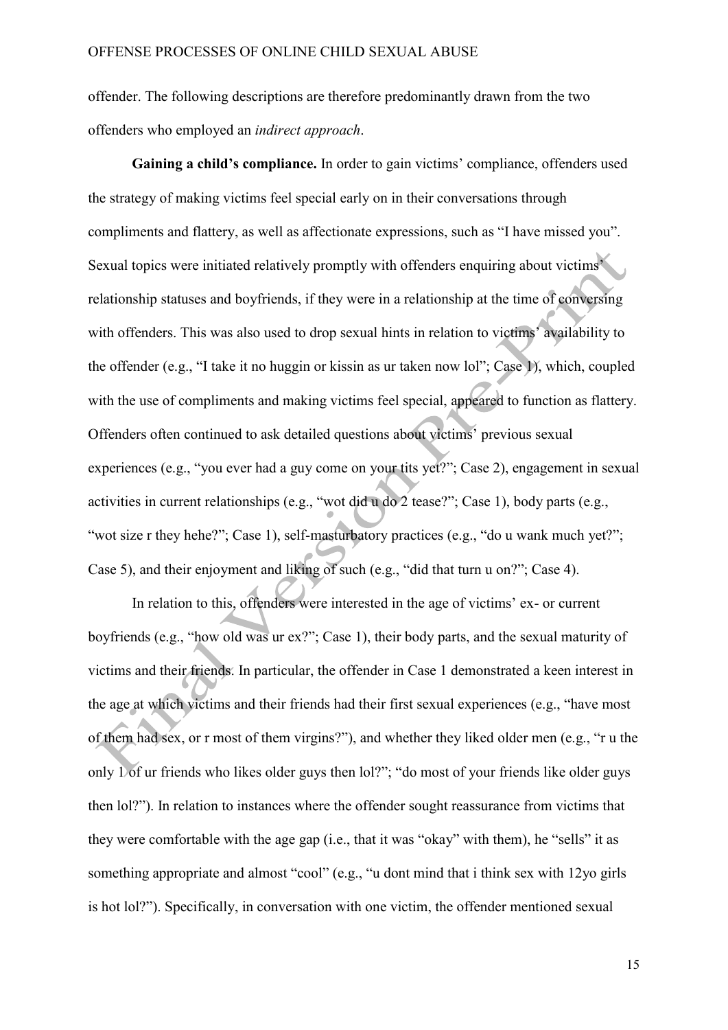offender. The following descriptions are therefore predominantly drawn from the two offenders who employed an *indirect approach*.

**Gaining a child's compliance.** In order to gain victims' compliance, offenders used the strategy of making victims feel special early on in their conversations through compliments and flattery, as well as affectionate expressions, such as "I have missed you". Sexual topics were initiated relatively promptly with offenders enquiring about victims' relationship statuses and boyfriends, if they were in a relationship at the time of conversing with offenders. This was also used to drop sexual hints in relation to victims' availability to the offender (e.g., "I take it no huggin or kissin as ur taken now lol"; Case 1), which, coupled with the use of compliments and making victims feel special, appeared to function as flattery. Offenders often continued to ask detailed questions about victims' previous sexual experiences (e.g., "you ever had a guy come on your tits yet?"; Case 2), engagement in sexual activities in current relationships (e.g., "wot did u do 2 tease?"; Case 1), body parts (e.g., "wot size r they hehe?"; Case 1), self-masturbatory practices (e.g., "do u wank much yet?"; Case 5), and their enjoyment and liking of such (e.g., "did that turn u on?"; Case 4).

In relation to this, offenders were interested in the age of victims' ex- or current boyfriends (e.g., "how old was ur ex?"; Case 1), their body parts, and the sexual maturity of victims and their friends. In particular, the offender in Case 1 demonstrated a keen interest in the age at which victims and their friends had their first sexual experiences (e.g., "have most of them had sex, or r most of them virgins?"), and whether they liked older men (e.g., "r u the only 1 of ur friends who likes older guys then lol?"; "do most of your friends like older guys then lol?"). In relation to instances where the offender sought reassurance from victims that they were comfortable with the age gap (i.e., that it was "okay" with them), he "sells" it as something appropriate and almost "cool" (e.g., "u dont mind that i think sex with 12yo girls is hot lol?"). Specifically, in conversation with one victim, the offender mentioned sexual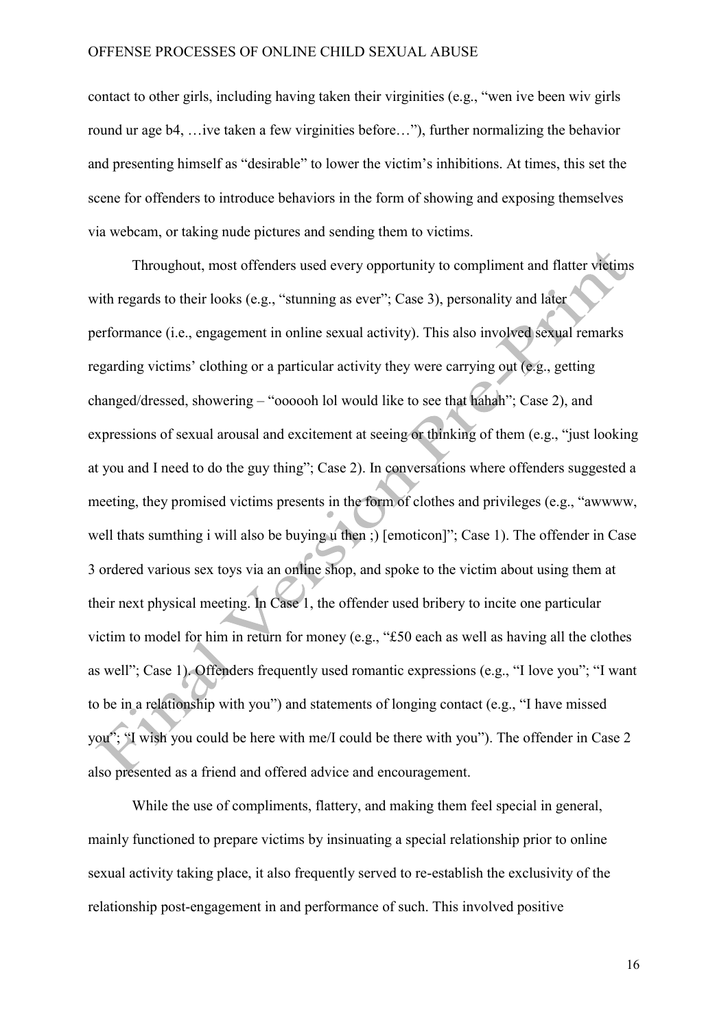contact to other girls, including having taken their virginities (e.g., "wen ive been wiv girls round ur age b4, …ive taken a few virginities before…"), further normalizing the behavior and presenting himself as "desirable" to lower the victim's inhibitions. At times, this set the scene for offenders to introduce behaviors in the form of showing and exposing themselves via webcam, or taking nude pictures and sending them to victims.

Throughout, most offenders used every opportunity to compliment and flatter victims with regards to their looks (e.g., "stunning as ever"; Case 3), personality and later performance (i.e., engagement in online sexual activity). This also involved sexual remarks regarding victims' clothing or a particular activity they were carrying out (e.g., getting changed/dressed, showering – "oooooh lol would like to see that hahah"; Case 2), and expressions of sexual arousal and excitement at seeing or thinking of them (e.g., "just looking at you and I need to do the guy thing"; Case 2). In conversations where offenders suggested a meeting, they promised victims presents in the form of clothes and privileges (e.g., "awwww, well thats sumthing i will also be buying u then ;) [emoticon]"; Case 1). The offender in Case 3 ordered various sex toys via an online shop, and spoke to the victim about using them at their next physical meeting. In Case 1, the offender used bribery to incite one particular victim to model for him in return for money (e.g., "£50 each as well as having all the clothes as well"; Case 1). Offenders frequently used romantic expressions (e.g., "I love you"; "I want to be in a relationship with you") and statements of longing contact (e.g., "I have missed you"; "I wish you could be here with me/I could be there with you"). The offender in Case 2 also presented as a friend and offered advice and encouragement.

While the use of compliments, flattery, and making them feel special in general, mainly functioned to prepare victims by insinuating a special relationship prior to online sexual activity taking place, it also frequently served to re-establish the exclusivity of the relationship post-engagement in and performance of such. This involved positive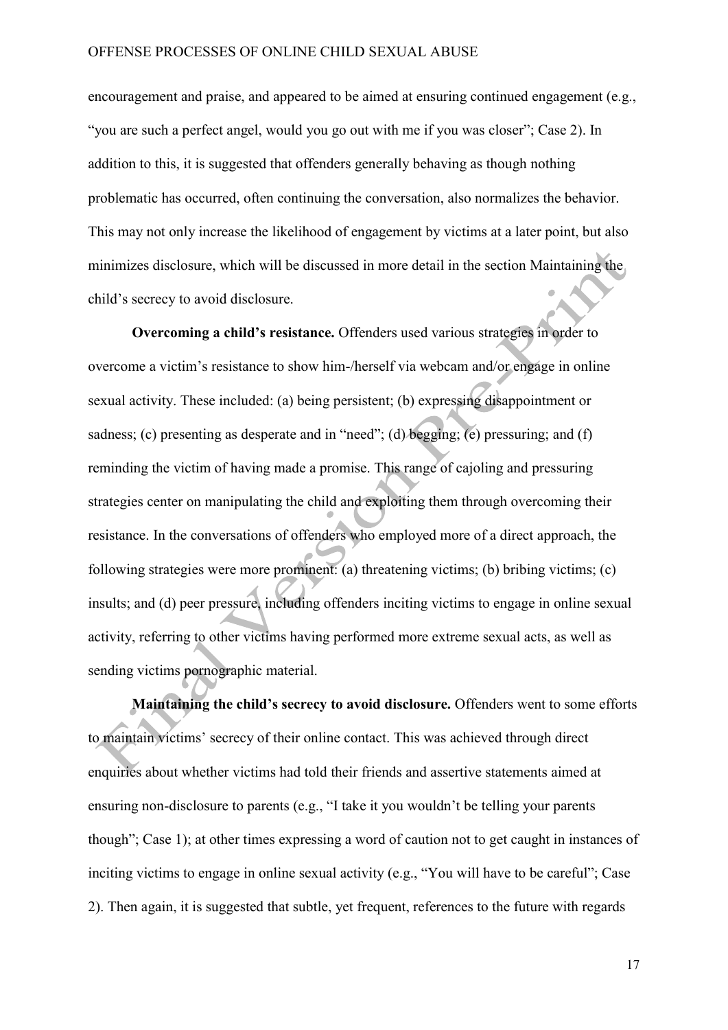encouragement and praise, and appeared to be aimed at ensuring continued engagement (e.g., "you are such a perfect angel, would you go out with me if you was closer"; Case 2). In addition to this, it is suggested that offenders generally behaving as though nothing problematic has occurred, often continuing the conversation, also normalizes the behavior. This may not only increase the likelihood of engagement by victims at a later point, but also minimizes disclosure, which will be discussed in more detail in the section Maintaining the child's secrecy to avoid disclosure.

**Overcoming a child's resistance.** Offenders used various strategies in order to overcome a victim's resistance to show him-/herself via webcam and/or engage in online sexual activity. These included: (a) being persistent; (b) expressing disappointment or sadness; (c) presenting as desperate and in "need"; (d) begging; (e) pressuring; and (f) reminding the victim of having made a promise. This range of cajoling and pressuring strategies center on manipulating the child and exploiting them through overcoming their resistance. In the conversations of offenders who employed more of a direct approach, the following strategies were more prominent: (a) threatening victims; (b) bribing victims; (c) insults; and (d) peer pressure, including offenders inciting victims to engage in online sexual activity, referring to other victims having performed more extreme sexual acts, as well as sending victims pornographic material.

**Maintaining the child's secrecy to avoid disclosure.** Offenders went to some efforts to maintain victims' secrecy of their online contact. This was achieved through direct enquiries about whether victims had told their friends and assertive statements aimed at ensuring non-disclosure to parents (e.g., "I take it you wouldn't be telling your parents though"; Case 1); at other times expressing a word of caution not to get caught in instances of inciting victims to engage in online sexual activity (e.g., "You will have to be careful"; Case 2). Then again, it is suggested that subtle, yet frequent, references to the future with regards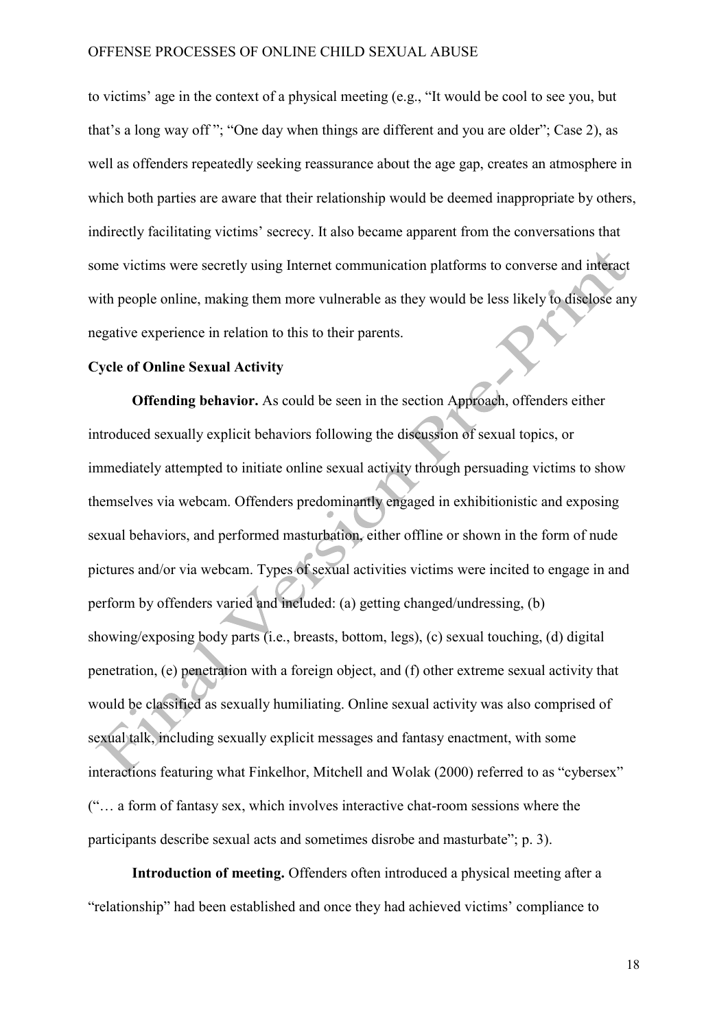to victims' age in the context of a physical meeting (e.g., "It would be cool to see you, but that's a long way off "; "One day when things are different and you are older"; Case 2), as well as offenders repeatedly seeking reassurance about the age gap, creates an atmosphere in which both parties are aware that their relationship would be deemed inappropriate by others, indirectly facilitating victims' secrecy. It also became apparent from the conversations that some victims were secretly using Internet communication platforms to converse and interact with people online, making them more vulnerable as they would be less likely to disclose any negative experience in relation to this to their parents.

### **Cycle of Online Sexual Activity**

**Offending behavior.** As could be seen in the section Approach, offenders either introduced sexually explicit behaviors following the discussion of sexual topics, or immediately attempted to initiate online sexual activity through persuading victims to show themselves via webcam. Offenders predominantly engaged in exhibitionistic and exposing sexual behaviors, and performed masturbation, either offline or shown in the form of nude pictures and/or via webcam. Types of sexual activities victims were incited to engage in and perform by offenders varied and included: (a) getting changed/undressing, (b) showing/exposing body parts (i.e., breasts, bottom, legs), (c) sexual touching, (d) digital penetration, (e) penetration with a foreign object, and (f) other extreme sexual activity that would be classified as sexually humiliating. Online sexual activity was also comprised of sexual talk, including sexually explicit messages and fantasy enactment, with some interactions featuring what Finkelhor, Mitchell and Wolak (2000) referred to as "cybersex" ("… a form of fantasy sex, which involves interactive chat-room sessions where the participants describe sexual acts and sometimes disrobe and masturbate"; p. 3).

**Introduction of meeting.** Offenders often introduced a physical meeting after a "relationship" had been established and once they had achieved victims' compliance to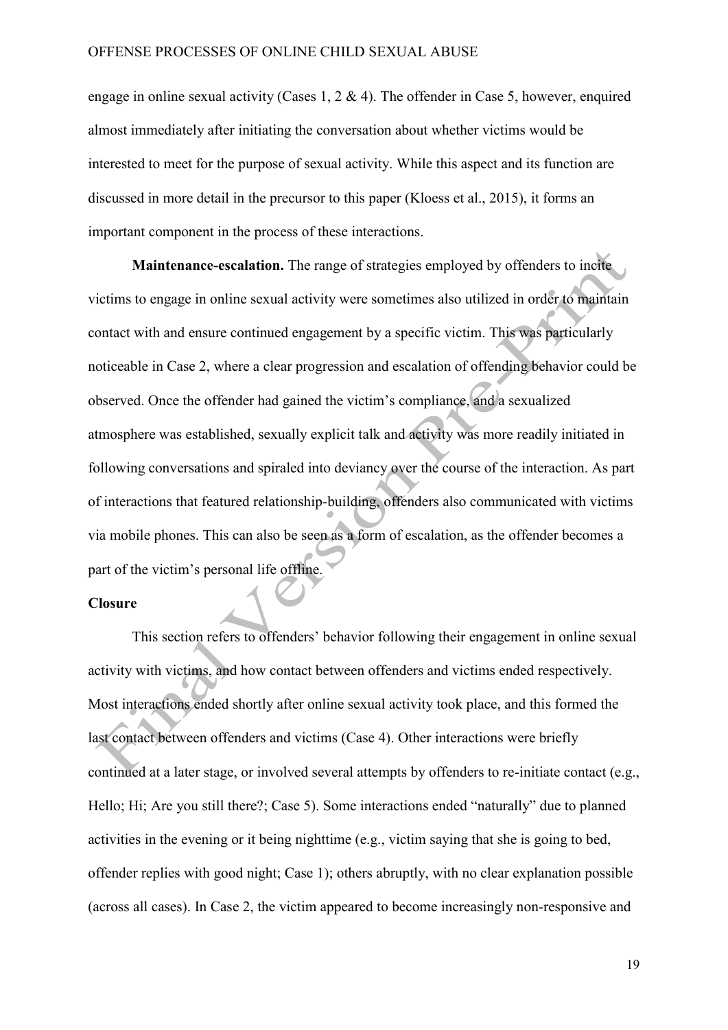engage in online sexual activity (Cases 1, 2  $\&$  4). The offender in Case 5, however, enquired almost immediately after initiating the conversation about whether victims would be interested to meet for the purpose of sexual activity. While this aspect and its function are discussed in more detail in the precursor to this paper (Kloess et al., 2015), it forms an important component in the process of these interactions.

**Maintenance-escalation.** The range of strategies employed by offenders to incite victims to engage in online sexual activity were sometimes also utilized in order to maintain contact with and ensure continued engagement by a specific victim. This was particularly noticeable in Case 2, where a clear progression and escalation of offending behavior could be observed. Once the offender had gained the victim's compliance, and a sexualized atmosphere was established, sexually explicit talk and activity was more readily initiated in following conversations and spiraled into deviancy over the course of the interaction. As part of interactions that featured relationship-building, offenders also communicated with victims via mobile phones. This can also be seen as a form of escalation, as the offender becomes a part of the victim's personal life offline.

#### **Closure**

This section refers to offenders' behavior following their engagement in online sexual activity with victims, and how contact between offenders and victims ended respectively. Most interactions ended shortly after online sexual activity took place, and this formed the last contact between offenders and victims (Case 4). Other interactions were briefly continued at a later stage, or involved several attempts by offenders to re-initiate contact (e.g., Hello; Hi; Are you still there?; Case 5). Some interactions ended "naturally" due to planned activities in the evening or it being nighttime (e.g., victim saying that she is going to bed, offender replies with good night; Case 1); others abruptly, with no clear explanation possible (across all cases). In Case 2, the victim appeared to become increasingly non-responsive and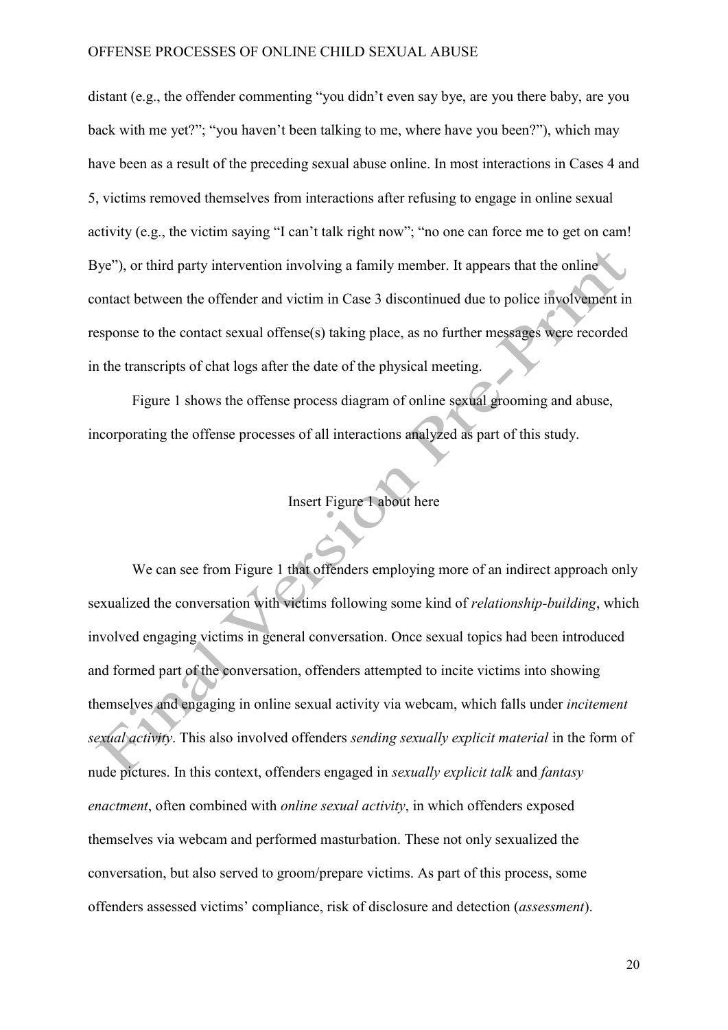distant (e.g., the offender commenting "you didn't even say bye, are you there baby, are you back with me yet?"; "you haven't been talking to me, where have you been?"), which may have been as a result of the preceding sexual abuse online. In most interactions in Cases 4 and 5, victims removed themselves from interactions after refusing to engage in online sexual activity (e.g., the victim saying "I can't talk right now"; "no one can force me to get on cam! Bye"), or third party intervention involving a family member. It appears that the online contact between the offender and victim in Case 3 discontinued due to police involvement in response to the contact sexual offense(s) taking place, as no further messages were recorded in the transcripts of chat logs after the date of the physical meeting.

Figure 1 shows the offense process diagram of online sexual grooming and abuse, incorporating the offense processes of all interactions analyzed as part of this study.

# Insert Figure 1 about here

We can see from Figure 1 that offenders employing more of an indirect approach only sexualized the conversation with victims following some kind of *relationship-building*, which involved engaging victims in general conversation. Once sexual topics had been introduced and formed part of the conversation, offenders attempted to incite victims into showing themselves and engaging in online sexual activity via webcam, which falls under *incitement sexual activity*. This also involved offenders *sending sexually explicit material* in the form of nude pictures. In this context, offenders engaged in *sexually explicit talk* and *fantasy enactment*, often combined with *online sexual activity*, in which offenders exposed themselves via webcam and performed masturbation. These not only sexualized the conversation, but also served to groom/prepare victims. As part of this process, some offenders assessed victims' compliance, risk of disclosure and detection (*assessment*).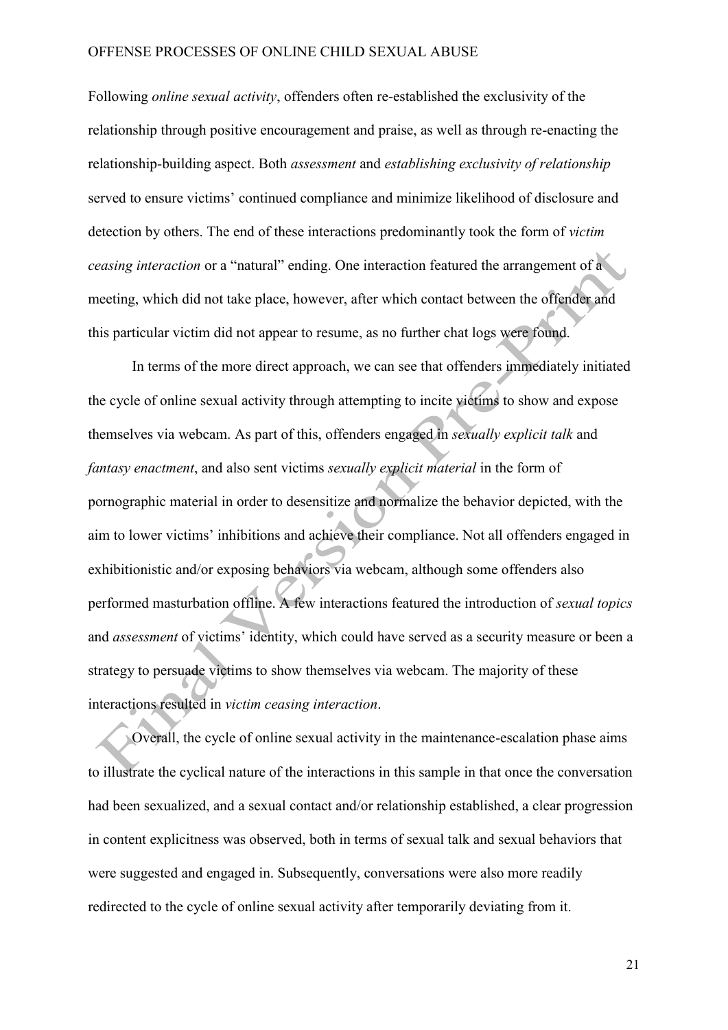Following *online sexual activity*, offenders often re-established the exclusivity of the relationship through positive encouragement and praise, as well as through re-enacting the relationship-building aspect. Both *assessment* and *establishing exclusivity of relationship* served to ensure victims' continued compliance and minimize likelihood of disclosure and detection by others. The end of these interactions predominantly took the form of *victim ceasing interaction* or a "natural" ending. One interaction featured the arrangement of a meeting, which did not take place, however, after which contact between the offender and this particular victim did not appear to resume, as no further chat logs were found.

In terms of the more direct approach, we can see that offenders immediately initiated the cycle of online sexual activity through attempting to incite victims to show and expose themselves via webcam. As part of this, offenders engaged in *sexually explicit talk* and *fantasy enactment*, and also sent victims *sexually explicit material* in the form of pornographic material in order to desensitize and normalize the behavior depicted, with the aim to lower victims' inhibitions and achieve their compliance. Not all offenders engaged in exhibitionistic and/or exposing behaviors via webcam, although some offenders also performed masturbation offline. A few interactions featured the introduction of *sexual topics* and *assessment* of victims' identity, which could have served as a security measure or been a strategy to persuade victims to show themselves via webcam. The majority of these interactions resulted in *victim ceasing interaction*.

Overall, the cycle of online sexual activity in the maintenance-escalation phase aims to illustrate the cyclical nature of the interactions in this sample in that once the conversation had been sexualized, and a sexual contact and/or relationship established, a clear progression in content explicitness was observed, both in terms of sexual talk and sexual behaviors that were suggested and engaged in. Subsequently, conversations were also more readily redirected to the cycle of online sexual activity after temporarily deviating from it.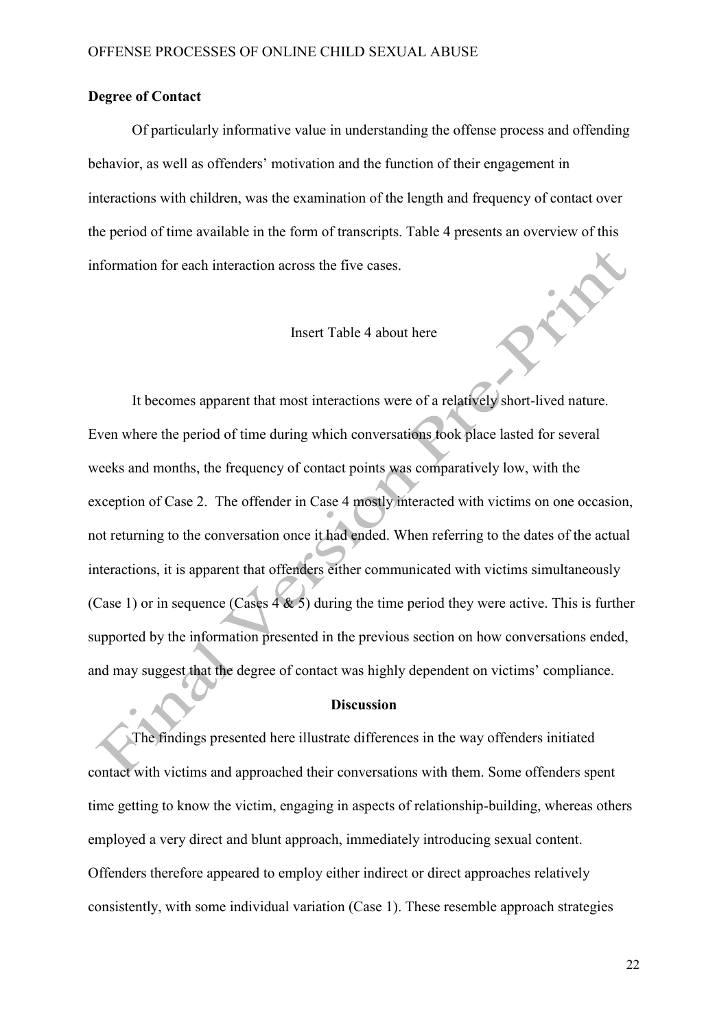### **Degree of Contact**

Of particularly informative value in understanding the offense process and offending behavior, as well as offenders' motivation and the function of their engagement in interactions with children, was the examination of the length and frequency of contact over the period of time available in the form of transcripts. Table 4 presents an overview of this information for each interaction across the five cases.

#### Insert Table 4 about here

It becomes apparent that most interactions were of a relatively short-lived nature. Even where the period of time during which conversations took place lasted for several weeks and months, the frequency of contact points was comparatively low, with the exception of Case 2. The offender in Case 4 mostly interacted with victims on one occasion, not returning to the conversation once it had ended. When referring to the dates of the actual interactions, it is apparent that offenders either communicated with victims simultaneously (Case 1) or in sequence (Cases  $4 \& 5$ ) during the time period they were active. This is further supported by the information presented in the previous section on how conversations ended, and may suggest that the degree of contact was highly dependent on victims' compliance.

#### **Discussion**

The findings presented here illustrate differences in the way offenders initiated contact with victims and approached their conversations with them. Some offenders spent time getting to know the victim, engaging in aspects of relationship-building, whereas others employed a very direct and blunt approach, immediately introducing sexual content. Offenders therefore appeared to employ either indirect or direct approaches relatively consistently, with some individual variation (Case 1). These resemble approach strategies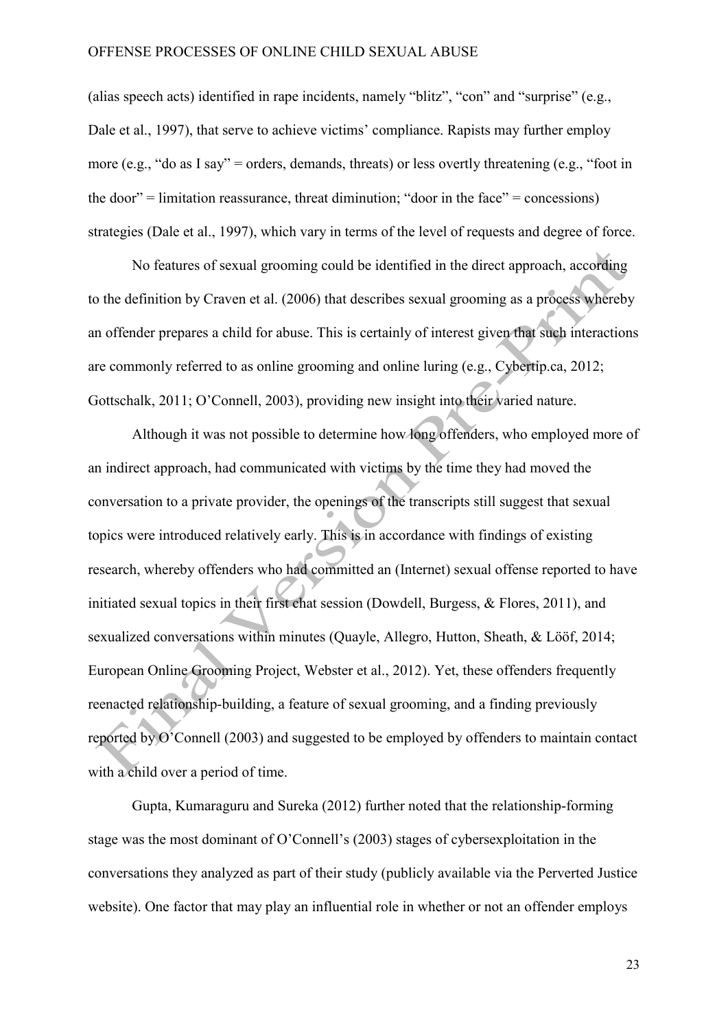(alias speech acts) identified in rape incidents, namely "blitz", "con" and "surprise" (e.g., Dale et al., 1997), that serve to achieve victims' compliance. Rapists may further employ more (e.g., "do as I say" = orders, demands, threats) or less overtly threatening (e.g., "foot in the door" = limitation reassurance, threat diminution; "door in the face" = concessions) strategies (Dale et al., 1997), which vary in terms of the level of requests and degree of force.

No features of sexual grooming could be identified in the direct approach, according to the definition by Craven et al. (2006) that describes sexual grooming as a process whereby an offender prepares a child for abuse. This is certainly of interest given that such interactions are commonly referred to as online grooming and online luring (e.g., Cybertip.ca, 2012; Gottschalk, 2011; O'Connell, 2003), providing new insight into their varied nature.

Although it was not possible to determine how long offenders, who employed more of an indirect approach, had communicated with victims by the time they had moved the conversation to a private provider, the openings of the transcripts still suggest that sexual topics were introduced relatively early. This is in accordance with findings of existing research, whereby offenders who had committed an (Internet) sexual offense reported to have initiated sexual topics in their first chat session (Dowdell, Burgess, & Flores, 2011), and sexualized conversations within minutes (Quayle, Allegro, Hutton, Sheath, & Lööf, 2014; European Online Grooming Project, Webster et al., 2012). Yet, these offenders frequently reenacted relationship-building, a feature of sexual grooming, and a finding previously reported by O'Connell (2003) and suggested to be employed by offenders to maintain contact with a child over a period of time.

Gupta, Kumaraguru and Sureka (2012) further noted that the relationship-forming stage was the most dominant of O'Connell's (2003) stages of cybersexploitation in the conversations they analyzed as part of their study (publicly available via the Perverted Justice website). One factor that may play an influential role in whether or not an offender employs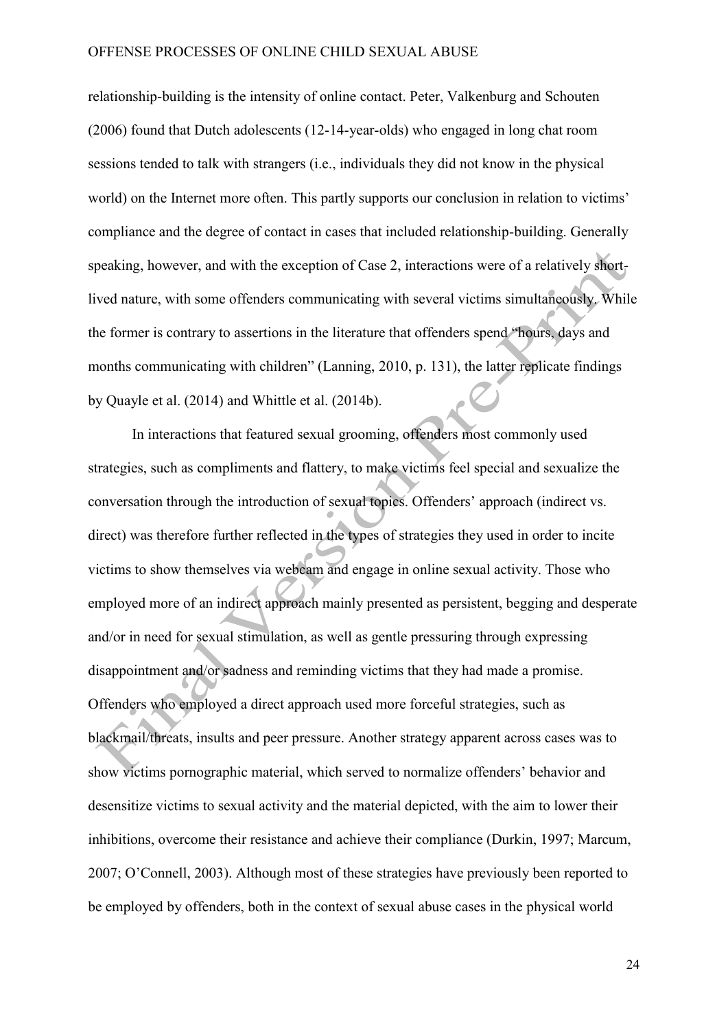relationship-building is the intensity of online contact. Peter, Valkenburg and Schouten (2006) found that Dutch adolescents (12-14-year-olds) who engaged in long chat room sessions tended to talk with strangers (i.e., individuals they did not know in the physical world) on the Internet more often. This partly supports our conclusion in relation to victims' compliance and the degree of contact in cases that included relationship-building. Generally speaking, however, and with the exception of Case 2, interactions were of a relatively shortlived nature, with some offenders communicating with several victims simultaneously. While the former is contrary to assertions in the literature that offenders spend "hours, days and months communicating with children" (Lanning, 2010, p. 131), the latter replicate findings by Quayle et al. (2014) and Whittle et al. (2014b).

In interactions that featured sexual grooming, offenders most commonly used strategies, such as compliments and flattery, to make victims feel special and sexualize the conversation through the introduction of sexual topics. Offenders' approach (indirect vs. direct) was therefore further reflected in the types of strategies they used in order to incite victims to show themselves via webcam and engage in online sexual activity. Those who employed more of an indirect approach mainly presented as persistent, begging and desperate and/or in need for sexual stimulation, as well as gentle pressuring through expressing disappointment and/or sadness and reminding victims that they had made a promise. Offenders who employed a direct approach used more forceful strategies, such as blackmail/threats, insults and peer pressure. Another strategy apparent across cases was to show victims pornographic material, which served to normalize offenders' behavior and desensitize victims to sexual activity and the material depicted, with the aim to lower their inhibitions, overcome their resistance and achieve their compliance (Durkin, 1997; Marcum, 2007; O'Connell, 2003). Although most of these strategies have previously been reported to be employed by offenders, both in the context of sexual abuse cases in the physical world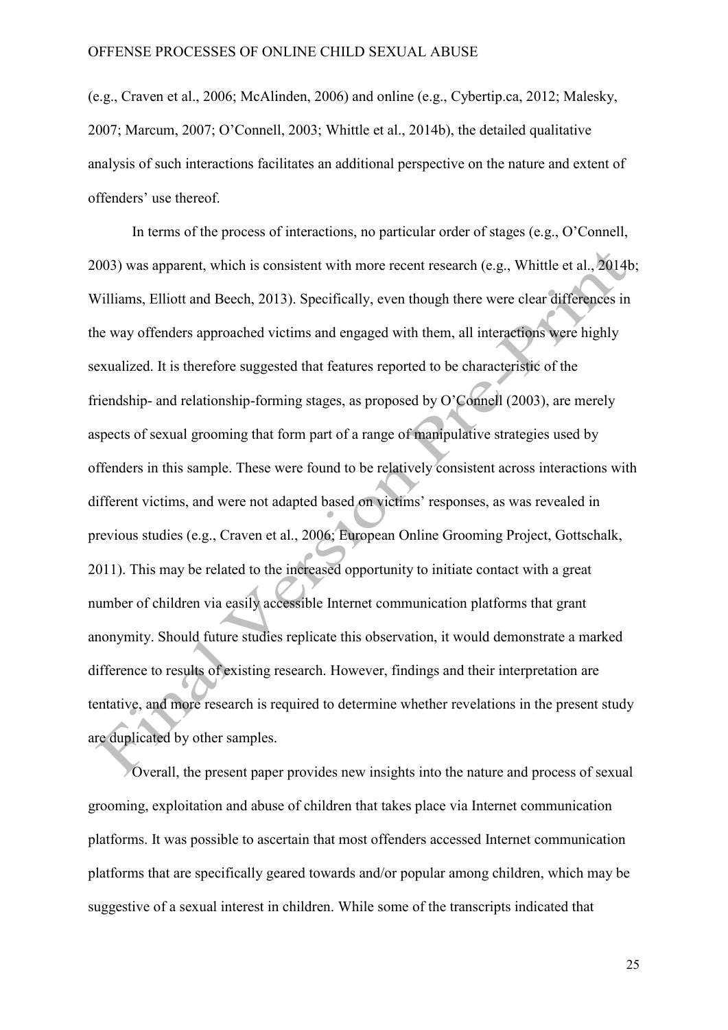(e.g., Craven et al., 2006; McAlinden, 2006) and online (e.g., Cybertip.ca, 2012; Malesky, 2007; Marcum, 2007; O'Connell, 2003; Whittle et al., 2014b), the detailed qualitative analysis of such interactions facilitates an additional perspective on the nature and extent of offenders' use thereof.

In terms of the process of interactions, no particular order of stages (e.g., O'Connell, 2003) was apparent, which is consistent with more recent research (e.g., Whittle et al., 2014b; Williams, Elliott and Beech, 2013). Specifically, even though there were clear differences in the way offenders approached victims and engaged with them, all interactions were highly sexualized. It is therefore suggested that features reported to be characteristic of the friendship- and relationship-forming stages, as proposed by O'Connell (2003), are merely aspects of sexual grooming that form part of a range of manipulative strategies used by offenders in this sample. These were found to be relatively consistent across interactions with different victims, and were not adapted based on victims' responses, as was revealed in previous studies (e.g., Craven et al., 2006; European Online Grooming Project, Gottschalk, 2011). This may be related to the increased opportunity to initiate contact with a great number of children via easily accessible Internet communication platforms that grant anonymity. Should future studies replicate this observation, it would demonstrate a marked difference to results of existing research. However, findings and their interpretation are tentative, and more research is required to determine whether revelations in the present study are duplicated by other samples.

Overall, the present paper provides new insights into the nature and process of sexual grooming, exploitation and abuse of children that takes place via Internet communication platforms. It was possible to ascertain that most offenders accessed Internet communication platforms that are specifically geared towards and/or popular among children, which may be suggestive of a sexual interest in children. While some of the transcripts indicated that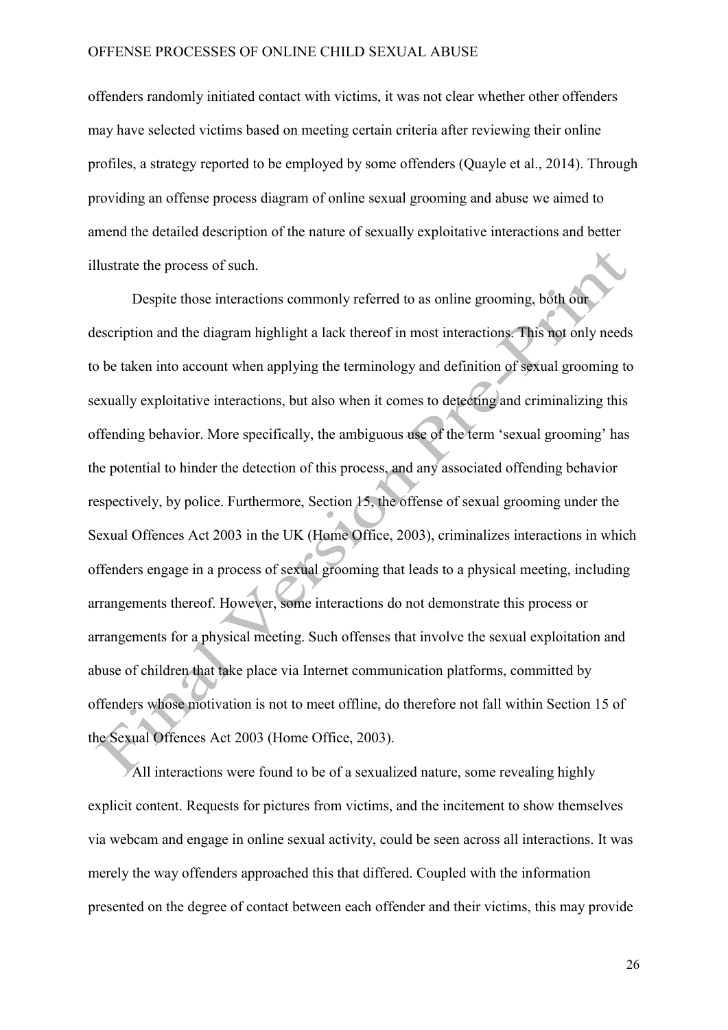offenders randomly initiated contact with victims, it was not clear whether other offenders may have selected victims based on meeting certain criteria after reviewing their online profiles, a strategy reported to be employed by some offenders (Quayle et al., 2014). Through providing an offense process diagram of online sexual grooming and abuse we aimed to amend the detailed description of the nature of sexually exploitative interactions and better illustrate the process of such.

Despite those interactions commonly referred to as online grooming, both our description and the diagram highlight a lack thereof in most interactions. This not only needs to be taken into account when applying the terminology and definition of sexual grooming to sexually exploitative interactions, but also when it comes to detecting and criminalizing this offending behavior. More specifically, the ambiguous use of the term 'sexual grooming' has the potential to hinder the detection of this process, and any associated offending behavior respectively, by police. Furthermore, Section 15, the offense of sexual grooming under the Sexual Offences Act 2003 in the UK (Home Office, 2003), criminalizes interactions in which offenders engage in a process of sexual grooming that leads to a physical meeting, including arrangements thereof. However, some interactions do not demonstrate this process or arrangements for a physical meeting. Such offenses that involve the sexual exploitation and abuse of children that take place via Internet communication platforms, committed by offenders whose motivation is not to meet offline, do therefore not fall within Section 15 of the Sexual Offences Act 2003 (Home Office, 2003).

All interactions were found to be of a sexualized nature, some revealing highly explicit content. Requests for pictures from victims, and the incitement to show themselves via webcam and engage in online sexual activity, could be seen across all interactions. It was merely the way offenders approached this that differed. Coupled with the information presented on the degree of contact between each offender and their victims, this may provide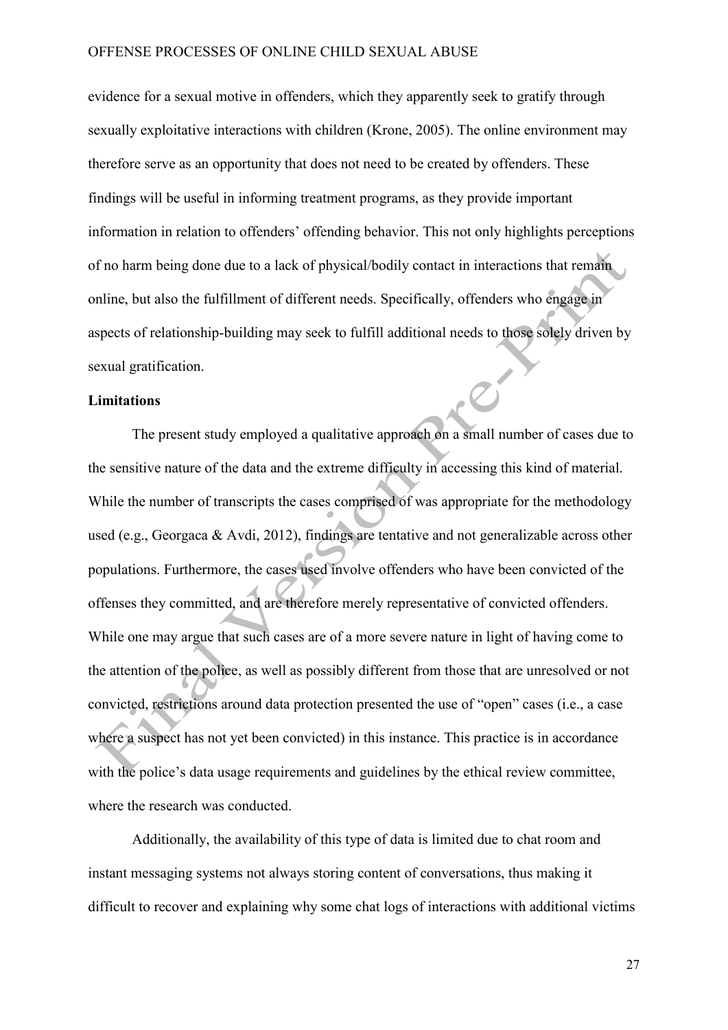evidence for a sexual motive in offenders, which they apparently seek to gratify through sexually exploitative interactions with children (Krone, 2005). The online environment may therefore serve as an opportunity that does not need to be created by offenders. These findings will be useful in informing treatment programs, as they provide important information in relation to offenders' offending behavior. This not only highlights perceptions of no harm being done due to a lack of physical/bodily contact in interactions that remain online, but also the fulfillment of different needs. Specifically, offenders who engage in aspects of relationship-building may seek to fulfill additional needs to those solely driven by sexual gratification.

### **Limitations**

The present study employed a qualitative approach on a small number of cases due to the sensitive nature of the data and the extreme difficulty in accessing this kind of material. While the number of transcripts the cases comprised of was appropriate for the methodology used (e.g., Georgaca & Avdi, 2012), findings are tentative and not generalizable across other populations. Furthermore, the cases used involve offenders who have been convicted of the offenses they committed, and are therefore merely representative of convicted offenders. While one may argue that such cases are of a more severe nature in light of having come to the attention of the police, as well as possibly different from those that are unresolved or not convicted, restrictions around data protection presented the use of "open" cases (i.e., a case where a suspect has not yet been convicted) in this instance. This practice is in accordance with the police's data usage requirements and guidelines by the ethical review committee, where the research was conducted.

Additionally, the availability of this type of data is limited due to chat room and instant messaging systems not always storing content of conversations, thus making it difficult to recover and explaining why some chat logs of interactions with additional victims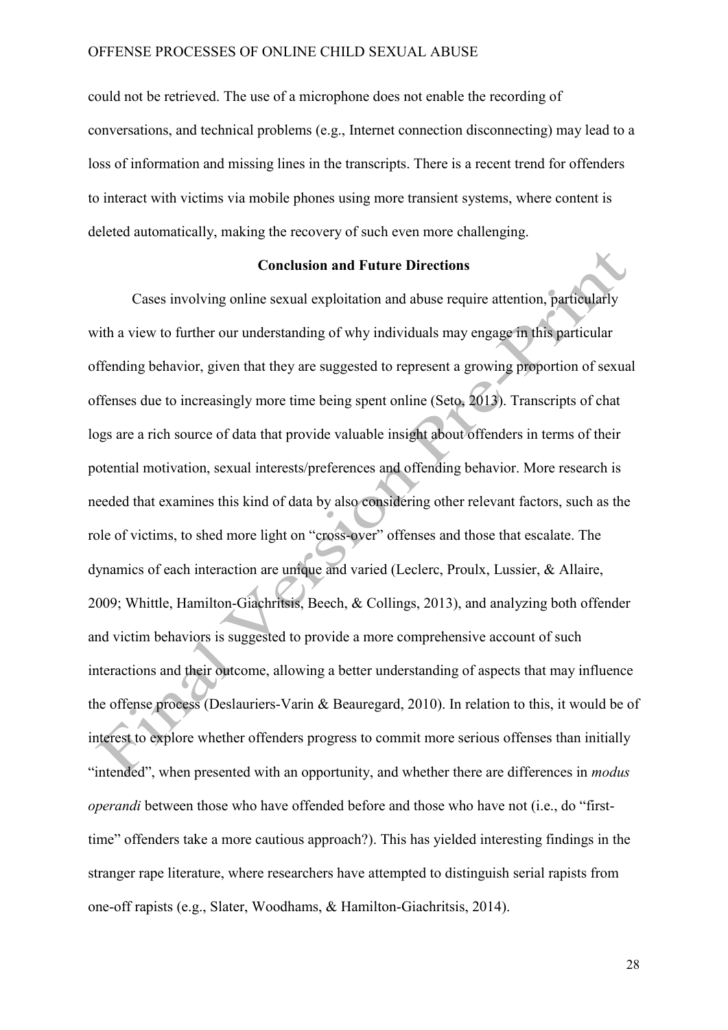could not be retrieved. The use of a microphone does not enable the recording of conversations, and technical problems (e.g., Internet connection disconnecting) may lead to a loss of information and missing lines in the transcripts. There is a recent trend for offenders to interact with victims via mobile phones using more transient systems, where content is deleted automatically, making the recovery of such even more challenging.

#### **Conclusion and Future Directions**

Cases involving online sexual exploitation and abuse require attention, particularly with a view to further our understanding of why individuals may engage in this particular offending behavior, given that they are suggested to represent a growing proportion of sexual offenses due to increasingly more time being spent online (Seto, 2013). Transcripts of chat logs are a rich source of data that provide valuable insight about offenders in terms of their potential motivation, sexual interests/preferences and offending behavior. More research is needed that examines this kind of data by also considering other relevant factors, such as the role of victims, to shed more light on "cross-over" offenses and those that escalate. The dynamics of each interaction are unique and varied (Leclerc, Proulx, Lussier, & Allaire, 2009; Whittle, Hamilton-Giachritsis, Beech, & Collings, 2013), and analyzing both offender and victim behaviors is suggested to provide a more comprehensive account of such interactions and their outcome, allowing a better understanding of aspects that may influence the offense process (Deslauriers-Varin & Beauregard, 2010). In relation to this, it would be of interest to explore whether offenders progress to commit more serious offenses than initially "intended", when presented with an opportunity, and whether there are differences in *modus operandi* between those who have offended before and those who have not (i.e., do "firsttime" offenders take a more cautious approach?). This has yielded interesting findings in the stranger rape literature, where researchers have attempted to distinguish serial rapists from one-off rapists (e.g., Slater, Woodhams, & Hamilton-Giachritsis, 2014).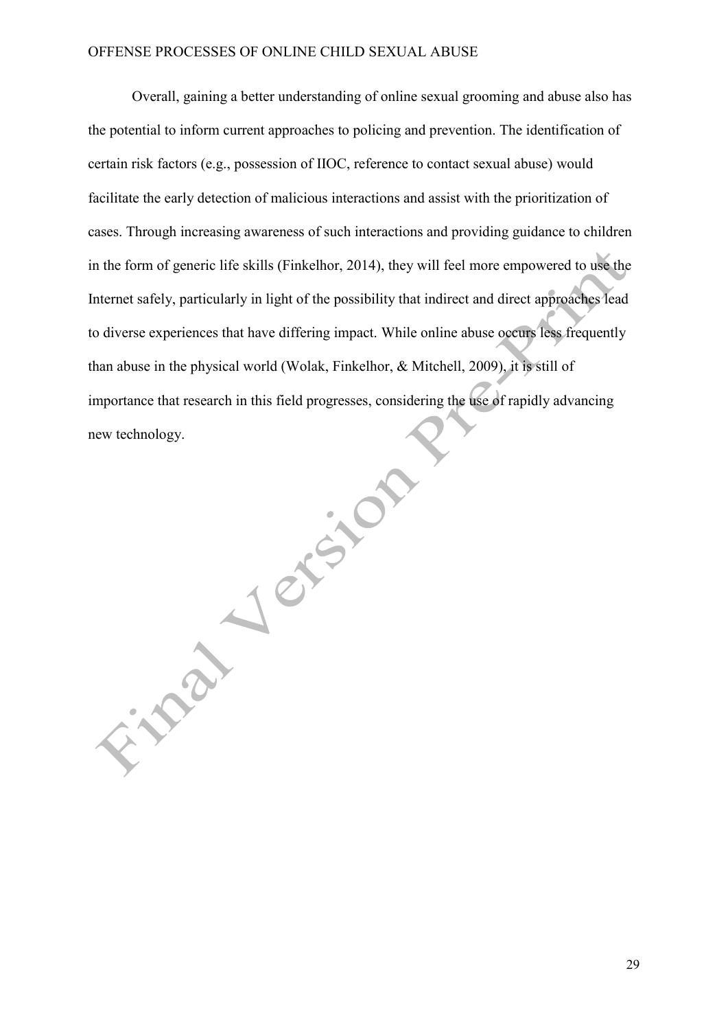i pa

Overall, gaining a better understanding of online sexual grooming and abuse also has the potential to inform current approaches to policing and prevention. The identification of certain risk factors (e.g., possession of IIOC, reference to contact sexual abuse) would facilitate the early detection of malicious interactions and assist with the prioritization of cases. Through increasing awareness of such interactions and providing guidance to children in the form of generic life skills (Finkelhor, 2014), they will feel more empowered to use the Internet safely, particularly in light of the possibility that indirect and direct approaches lead to diverse experiences that have differing impact. While online abuse occurs less frequently than abuse in the physical world (Wolak, Finkelhor, & Mitchell, 2009), it is still of importance that research in this field progresses, considering the use of rapidly advancing new technology.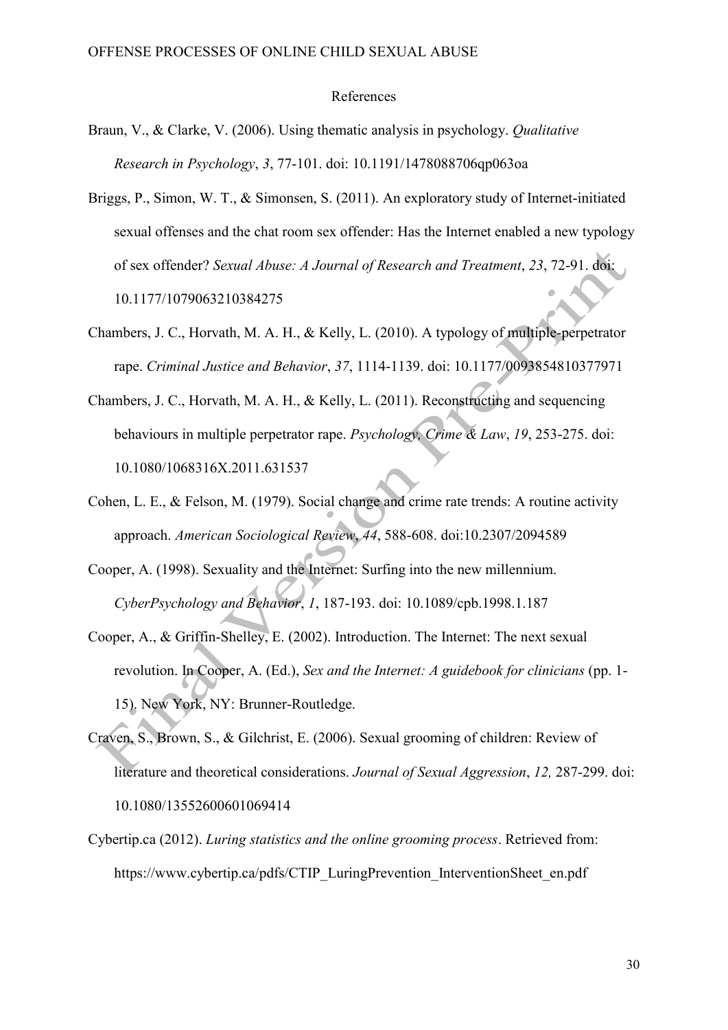#### References

- Braun, V., & Clarke, V. (2006). Using thematic analysis in psychology. *Qualitative Research in Psychology*, *3*, 77-101. doi: 10.1191/1478088706qp063oa
- Briggs, P., Simon, W. T., & Simonsen, S. (2011). An exploratory study of Internet-initiated sexual offenses and the chat room sex offender: Has the Internet enabled a new typology of sex offender? *Sexual Abuse: A Journal of Research and Treatment*, *23*, 72-91. doi: 10.1177/1079063210384275
- Chambers, J. C., Horvath, M. A. H., & Kelly, L. (2010). A typology of multiple-perpetrator rape. *Criminal Justice and Behavior*, *37*, 1114-1139. doi: 10.1177/0093854810377971
- Chambers, J. C., Horvath, M. A. H., & Kelly, L. (2011). Reconstructing and sequencing behaviours in multiple perpetrator rape. *Psychology, Crime & Law*, *19*, 253-275. doi: 10.1080/1068316X.2011.631537
- Cohen, L. E., & Felson, M. (1979). Social change and crime rate trends: A routine activity approach. *American Sociological Review*, *44*, 588-608. doi:10.2307/2094589
- Cooper, A. (1998). Sexuality and the Internet: Surfing into the new millennium. *CyberPsychology and Behavior*, *1*, 187-193. doi: 10.1089/cpb.1998.1.187
- Cooper, A., & Griffin-Shelley, E. (2002). Introduction. The Internet: The next sexual revolution. In Cooper, A. (Ed.), *Sex and the Internet: A guidebook for clinicians* (pp. 1- 15). New York, NY: Brunner-Routledge.
- Craven, S., Brown, S., & Gilchrist, E. (2006). Sexual grooming of children: Review of literature and theoretical considerations. *Journal of Sexual Aggression*, *12,* 287-299. doi: 10.1080/13552600601069414
- Cybertip.ca (2012). *Luring statistics and the online grooming process*. Retrieved from: https://www.cybertip.ca/pdfs/CTIP\_LuringPrevention\_InterventionSheet\_en.pdf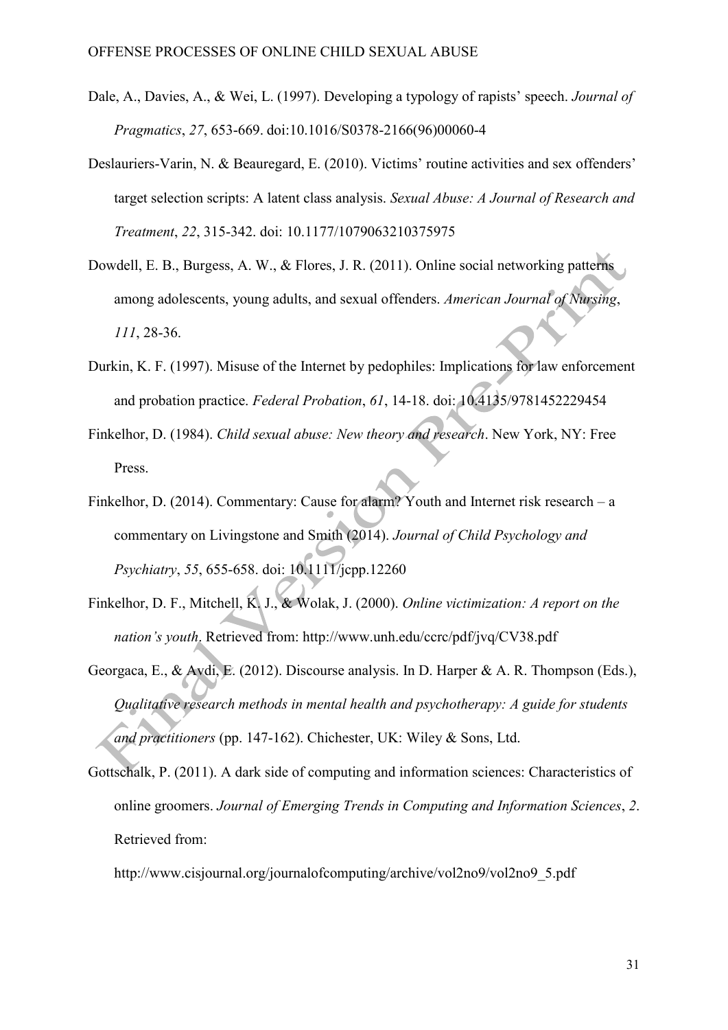- Dale, A., Davies, A., & Wei, L. (1997). Developing a typology of rapists' speech. *Journal of Pragmatics*, *27*, 653-669. doi:10.1016/S0378-2166(96)00060-4
- Deslauriers-Varin, N. & Beauregard, E. (2010). Victims' routine activities and sex offenders' target selection scripts: A latent class analysis. *Sexual Abuse: A Journal of Research and Treatment*, *22*, 315-342. doi: 10.1177/1079063210375975
- Dowdell, E. B., Burgess, A. W., & Flores, J. R. (2011). Online social networking patterns among adolescents, young adults, and sexual offenders. *American Journal of Nursing*, *111*, 28-36.
- Durkin, K. F. (1997). Misuse of the Internet by pedophiles: Implications for law enforcement and probation practice. *Federal Probation*, *61*, 14-18. doi: 10.4135/9781452229454
- Finkelhor, D. (1984). *Child sexual abuse: New theory and research*. New York, NY: Free Press.
- Finkelhor, D. (2014). Commentary: Cause for alarm? Youth and Internet risk research a commentary on Livingstone and Smith (2014). *Journal of Child Psychology and Psychiatry*, *55*, 655-658. doi: 10.1111/jcpp.12260
- Finkelhor, D. F., Mitchell, K. J., & Wolak, J. (2000). *Online victimization: A report on the nation's youth*. Retrieved from: http://www.unh.edu/ccrc/pdf/jvq/CV38.pdf
- Georgaca, E., & Avdi, E. (2012). Discourse analysis. In D. Harper & A. R. Thompson (Eds.), *Qualitative research methods in mental health and psychotherapy: A guide for students and practitioners* (pp. 147-162). Chichester, UK: Wiley & Sons, Ltd.
- Gottschalk, P. (2011). A dark side of computing and information sciences: Characteristics of online groomers. *Journal of Emerging Trends in Computing and Information Sciences*, *2*. Retrieved from:

http://www.cisjournal.org/journalofcomputing/archive/vol2no9/vol2no9\_5.pdf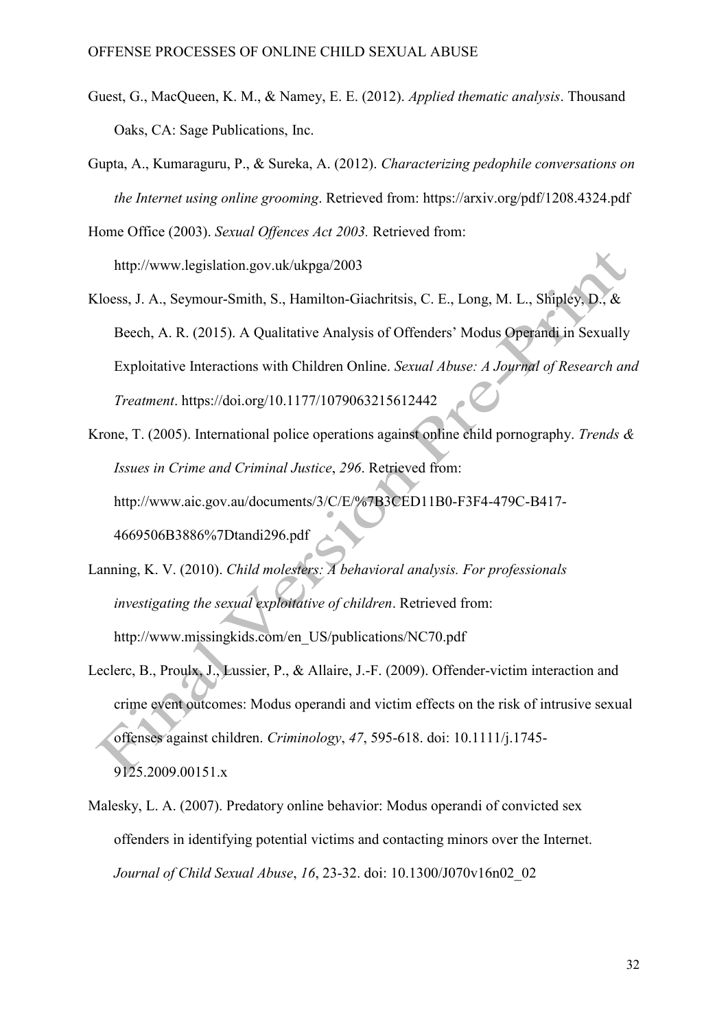- Guest, G., MacQueen, K. M., & Namey, E. E. (2012). *Applied thematic analysis*. Thousand Oaks, CA: Sage Publications, Inc.
- Gupta, A., Kumaraguru, P., & Sureka, A. (2012). *Characterizing pedophile conversations on the Internet using online grooming*. Retrieved from: https://arxiv.org/pdf/1208.4324.pdf

Home Office (2003). *Sexual Offences Act 2003.* Retrieved from:

http://www.legislation.gov.uk/ukpga/2003

Kloess, J. A., Seymour-Smith, S., Hamilton-Giachritsis, C. E., Long, M. L., Shipley, D., & Beech, A. R. (2015). A Qualitative Analysis of Offenders' Modus Operandi in Sexually Exploitative Interactions with Children Online. *Sexual Abuse: A Journal of Research and Treatment*. https://doi.org/10.1177/1079063215612442

- Krone, T. (2005). International police operations against online child pornography. *Trends & Issues in Crime and Criminal Justice*, *296*. Retrieved from: http://www.aic.gov.au/documents/3/C/E/%7B3CED11B0-F3F4-479C-B417- 4669506B3886%7Dtandi296.pdf
- Lanning, K. V. (2010). *Child molesters: A behavioral analysis. For professionals investigating the sexual exploitative of children*. Retrieved from: http://www.missingkids.com/en\_US/publications/NC70.pdf
- Leclerc, B., Proulx, J., Lussier, P., & Allaire, J.-F. (2009). Offender-victim interaction and crime event outcomes: Modus operandi and victim effects on the risk of intrusive sexual offenses against children. *Criminology*, *47*, 595-618. doi: 10.1111/j.1745- 9125.2009.00151.x
- Malesky, L. A. (2007). Predatory online behavior: Modus operandi of convicted sex offenders in identifying potential victims and contacting minors over the Internet. *Journal of Child Sexual Abuse*, *16*, 23-32. doi: 10.1300/J070v16n02\_02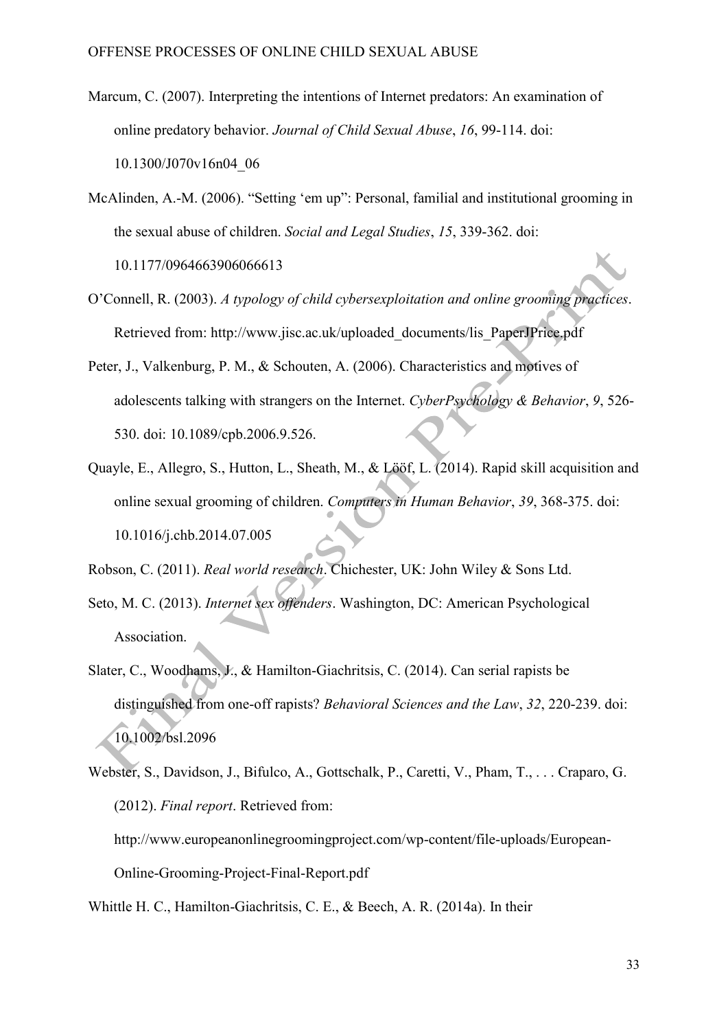- Marcum, C. (2007). Interpreting the intentions of Internet predators: An examination of online predatory behavior. *Journal of Child Sexual Abuse*, *16*, 99-114. doi: 10.1300/J070v16n04\_06
- McAlinden, A.-M. (2006). "Setting 'em up": Personal, familial and institutional grooming in the sexual abuse of children. *Social and Legal Studies*, *15*, 339-362. doi: 10.1177/0964663906066613
- O'Connell, R. (2003). *A typology of child cybersexploitation and online grooming practices*. Retrieved from: http://www.jisc.ac.uk/uploaded\_documents/lis\_PaperJPrice.pdf
- Peter, J., Valkenburg, P. M., & Schouten, A. (2006). Characteristics and motives of adolescents talking with strangers on the Internet. *CyberPsychology & Behavior*, *9*, 526- 530. doi: 10.1089/cpb.2006.9.526.
- Quayle, E., Allegro, S., Hutton, L., Sheath, M., & Lööf, L. (2014). Rapid skill acquisition and online sexual grooming of children. *Computers in Human Behavior*, *39*, 368-375. doi: 10.1016/j.chb.2014.07.005

Robson, C. (2011). *Real world research*. Chichester, UK: John Wiley & Sons Ltd.

- Seto, M. C. (2013). *Internet sex offenders*. Washington, DC: American Psychological Association.
- Slater, C., Woodhams, J., & Hamilton-Giachritsis, C. (2014). Can serial rapists be distinguished from one-off rapists? *Behavioral Sciences and the Law*, *32*, 220-239. doi: 10.1002/bsl.2096
- Webster, S., Davidson, J., Bifulco, A., Gottschalk, P., Caretti, V., Pham, T., . . . Craparo, G. (2012). *Final report*. Retrieved from: http://www.europeanonlinegroomingproject.com/wp-content/file-uploads/European-Online-Grooming-Project-Final-Report.pdf

Whittle H. C., Hamilton-Giachritsis, C. E., & Beech, A. R. (2014a). In their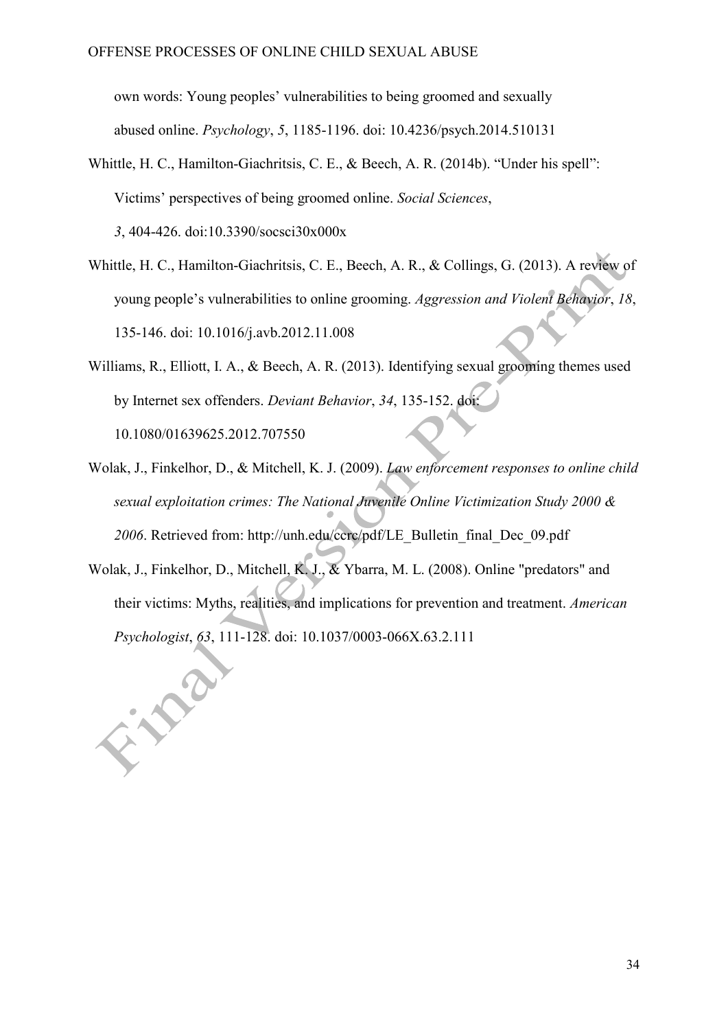own words: Young peoples' vulnerabilities to being groomed and sexually abused online. *Psychology*, *5*, 1185-1196. doi: 10.4236/psych.2014.510131

- Whittle, H. C., Hamilton-Giachritsis, C. E., & Beech, A. R. (2014b). "Under his spell": Victims' perspectives of being groomed online. *Social Sciences*, *3*, 404-426. doi:10.3390/socsci30x000x
- Whittle, H. C., Hamilton-Giachritsis, C. E., Beech, A. R., & Collings, G. (2013). A review of young people's vulnerabilities to online grooming. *Aggression and Violent Behavior*, *18*, 135-146. doi: 10.1016/j.avb.2012.11.008
- Williams, R., Elliott, I. A., & Beech, A. R. (2013). Identifying sexual grooming themes used by Internet sex offenders. *Deviant Behavior*, *34*, 135-152. doi: 10.1080/01639625.2012.707550
- Wolak, J., Finkelhor, D., & Mitchell, K. J. (2009). *Law enforcement responses to online child sexual exploitation crimes: The National Juvenile Online Victimization Study 2000 & 2006*. Retrieved from: http://unh.edu/ccrc/pdf/LE\_Bulletin\_final\_Dec\_09.pdf
- Wolak, J., Finkelhor, D., Mitchell, K. J., & Ybarra, M. L. (2008). Online "predators" and their victims: Myths, realities, and implications for prevention and treatment. *American Psychologist*, *63*, 111-128. doi: 10.1037/0003-066X.63.2.111

EXPRES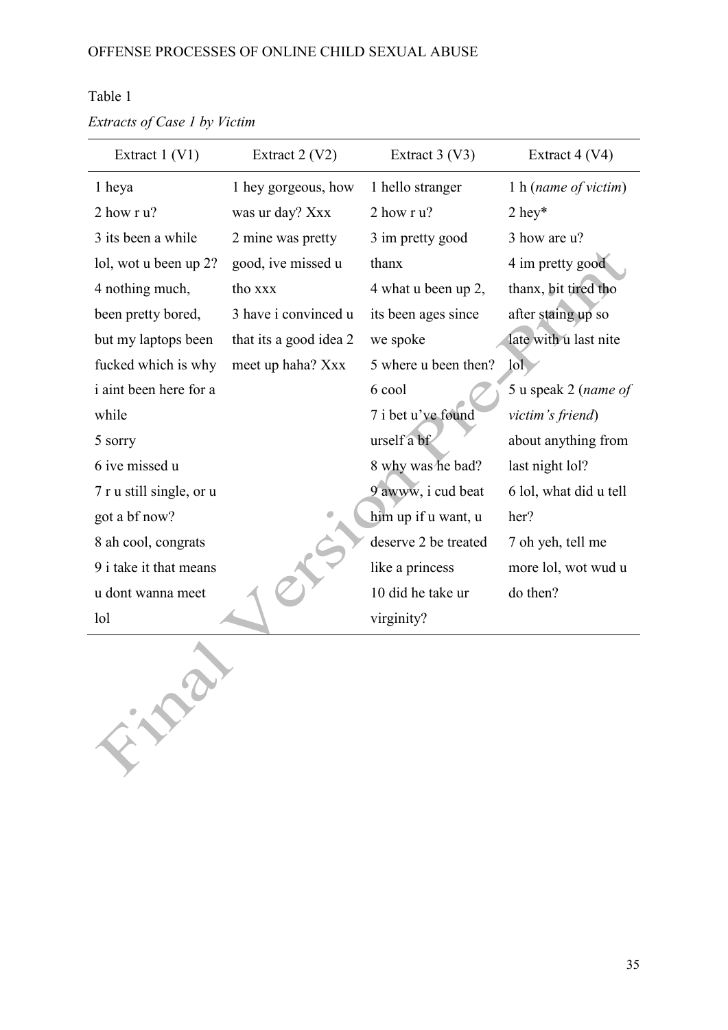| Extract 1 (V1)           | Extract 2 (V2)         | Extract $3 (V3)$     | Extract 4 (V4)         |
|--------------------------|------------------------|----------------------|------------------------|
| 1 heya                   | 1 hey gorgeous, how    | 1 hello stranger     | 1 h (name of victim)   |
| 2 how r u?               | was ur day? Xxx        | 2 how r u?           | $2$ hey*               |
| 3 its been a while       | 2 mine was pretty      | 3 im pretty good     | 3 how are u?           |
| lol, wot u been up 2?    | good, ive missed u     | thanx                | 4 im pretty good       |
| 4 nothing much,          | tho xxx                | 4 what u been up 2,  | thanx, bit tired tho   |
| been pretty bored,       | 3 have i convinced u   | its been ages since  | after staing up so     |
| but my laptops been      | that its a good idea 2 | we spoke             | late with u last nite  |
| fucked which is why      | meet up haha? Xxx      | 5 where u been then? | 101                    |
| i aint been here for a   |                        | 6 cool               | 5 u speak 2 (name of   |
| while                    |                        | 7 i bet u've found   | victim's friend)       |
| 5 sorry                  |                        | urself a bf          | about anything from    |
| 6 ive missed u           |                        | 8 why was he bad?    | last night lol?        |
| 7 r u still single, or u |                        | 9 awww, i cud beat   | 6 lol, what did u tell |
| got a bf now?            |                        | him up if u want, u  | her?                   |
| 8 ah cool, congrats      |                        | deserve 2 be treated | 7 oh yeh, tell me      |
| 9 i take it that means   |                        | like a princess      | more lol, wot wud u    |
| u dont wanna meet        |                        | 10 did he take ur    | do then?               |
| 1 <sub>o</sub> 1         |                        | virginity?           |                        |

# *Extracts of Case 1 by Victim*

Table 1

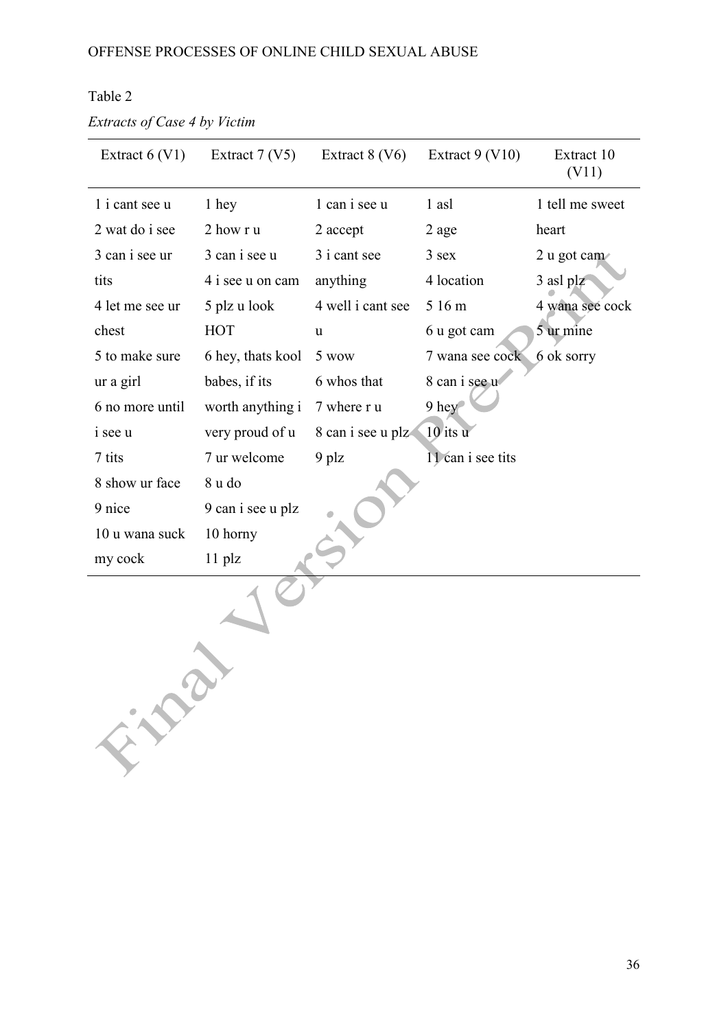# Table 2

| Extract $6 (V1)$ | Extract $7 (V5)$  | Extract $8$ (V6)  | Extract 9 (V10)            | Extract 10<br>(V11) |  |
|------------------|-------------------|-------------------|----------------------------|---------------------|--|
| 1 i cant see u   | 1 hey             | 1 can i see u     | 1 asl                      | 1 tell me sweet     |  |
| 2 wat do i see   | 2 how r u         | 2 accept          | 2 age                      | heart               |  |
| 3 can i see ur   | 3 can i see u     | 3 i cant see      | 3 sex                      | 2 u got cam         |  |
| tits             | 4 i see u on cam  | anything          | 4 location                 | 3 asl plz           |  |
| 4 let me see ur  | 5 plz u look      | 4 well i cant see | 5 16 m                     | 4 wana see cock     |  |
| chest            | <b>HOT</b>        | u                 | 6 u got cam                | 5 ur mine           |  |
| 5 to make sure   | 6 hey, thats kool | 5 wow             | 7 wana see cock 6 ok sorry |                     |  |
| ur a girl        | babes, if its     | 6 whos that       | 8 can i see u              |                     |  |
| 6 no more until  | worth anything i  | 7 where r u       | 9 hey                      |                     |  |
| <i>i</i> see u   | very proud of u   | 8 can i see u plz | $10$ its $u$               |                     |  |
| 7 tits           | 7 ur welcome      | 9 plz             | 11 can i see tits          |                     |  |
| 8 show ur face   | 8 u do            |                   |                            |                     |  |
| 9 nice           | 9 can i see u plz |                   |                            |                     |  |
| 10 u wana suck   | 10 horny          |                   |                            |                     |  |
| my cock          | $11$ plz          |                   |                            |                     |  |
| ELECT            |                   |                   |                            |                     |  |

## *Extracts of Case 4 by Victim*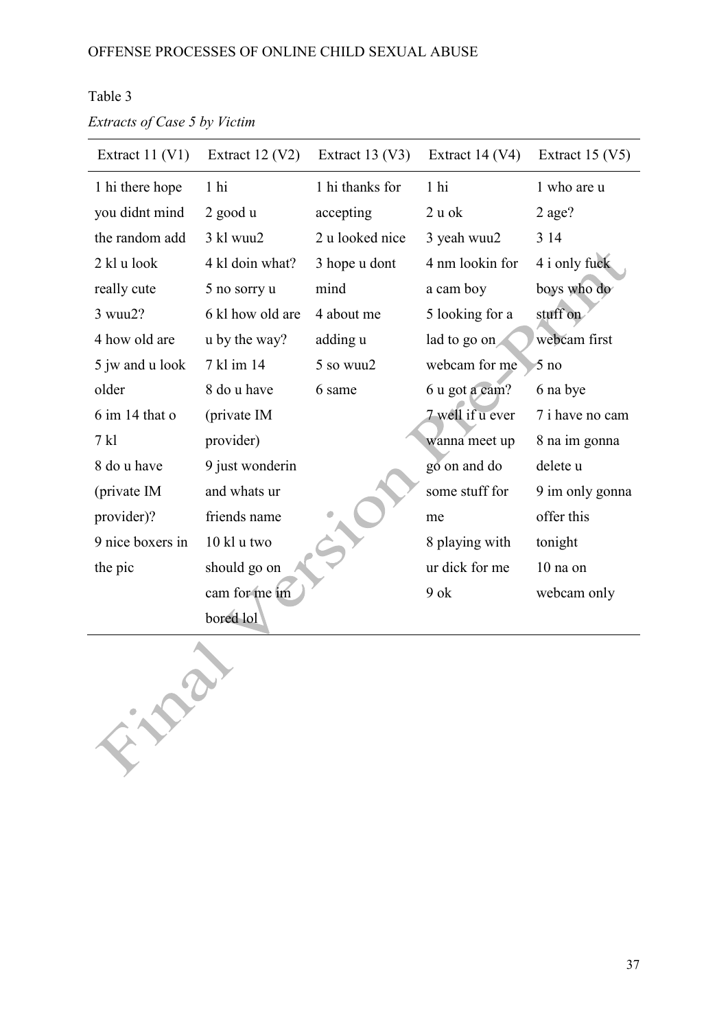# Table 3

| Extracts of Case 5 by Victim |  |  |  |  |  |
|------------------------------|--|--|--|--|--|
|------------------------------|--|--|--|--|--|

| Extract 11 $(V1)$         | Extract 12 (V2)  | Extract $13 \text{ (V3)}$ | Extract $14 (V4)$ | Extract $15 (V5)$ |
|---------------------------|------------------|---------------------------|-------------------|-------------------|
| 1 hi there hope           | 1 hi             | 1 hi thanks for           | 1 hi              | 1 who are u       |
| you didnt mind            | 2 good u         | accepting                 | 2 u ok            | 2 age?            |
| the random add            | 3 kl wuu2        | 2 u looked nice           | 3 yeah wuu2       | 3 1 4             |
| 2 kl u look               | 4 kl doin what?  | 3 hope u dont             | 4 nm lookin for   | 4 i only fuck     |
| really cute               | 5 no sorry u     | mind                      | a cam boy         | boys who do       |
| 3 wuu2?                   | 6 kl how old are | 4 about me                | 5 looking for a   | stuff on          |
| 4 how old are             | u by the way?    | adding u                  | lad to go on      | webcam first      |
| 5 jw and u look           | 7 kl im 14       | 5 so wuu2                 | webcam for me     | $5$ no            |
| older                     | 8 do u have      | 6 same                    | 6 u got a cam?    | 6 na bye          |
| $6 \text{ im } 14$ that o | (private IM      |                           | 7 well if u ever  | 7 i have no cam   |
| $7$ kl                    | provider)        |                           | wanna meet up     | 8 na im gonna     |
| 8 do u have               | 9 just wonderin  |                           | go on and do      | delete u          |
| (private IM               | and whats ur     |                           | some stuff for    | 9 im only gonna   |
| provider)?                | friends name     |                           | me                | offer this        |
| 9 nice boxers in          | 10 kl u two      |                           | 8 playing with    | tonight           |
| the pic                   | should go on     |                           | ur dick for me    | $10$ na on        |
|                           | cam for me im    |                           | 9 ok              | webcam only       |
|                           | bored lol        |                           |                   |                   |